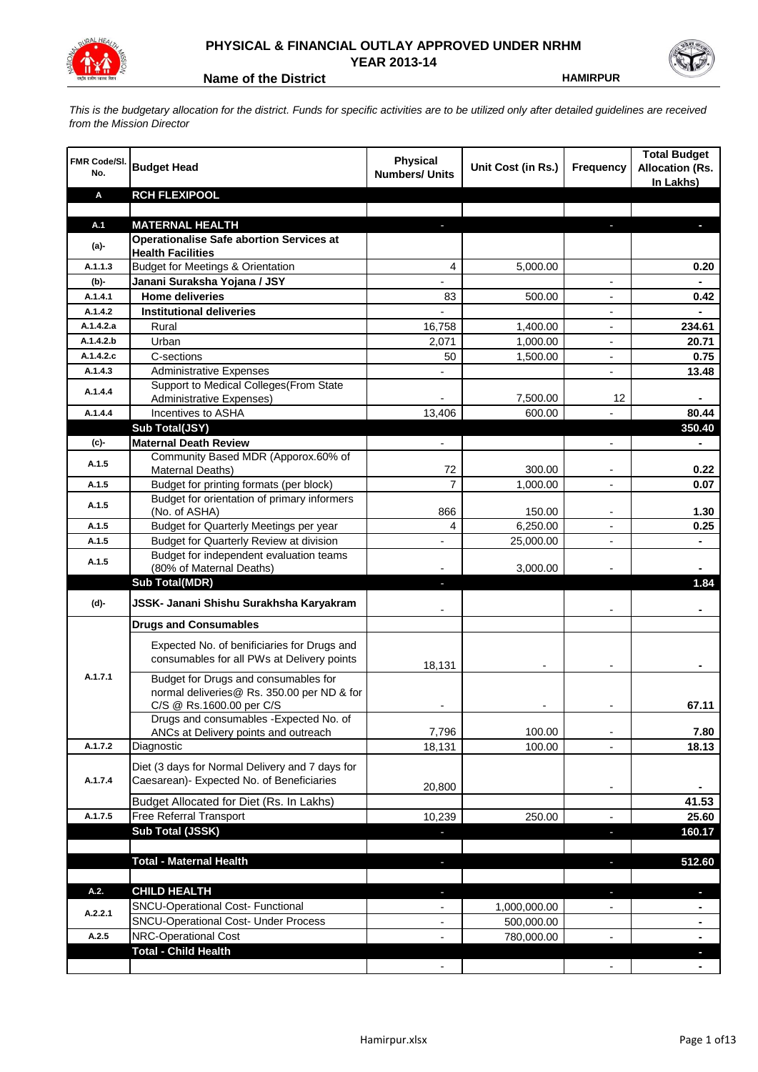

## **PHYSICAL & FINANCIAL OUTLAY APPROVED UNDER NRHM YEAR 2013-14**

**Name of the District <b>HAMIRPUR** 

*This is the budgetary allocation for the district. Funds for specific activities are to be utilized only after detailed guidelines are received from the Mission Director*

| <b>FMR Code/SI.</b><br>No. | <b>Budget Head</b>                                                                                             | Physical<br><b>Numbers/ Units</b> | Unit Cost (in Rs.) | Frequency                | <b>Total Budget</b><br><b>Allocation (Rs.</b><br>In Lakhs) |
|----------------------------|----------------------------------------------------------------------------------------------------------------|-----------------------------------|--------------------|--------------------------|------------------------------------------------------------|
| Α                          | <b>RCH FLEXIPOOL</b>                                                                                           |                                   |                    |                          |                                                            |
|                            |                                                                                                                |                                   |                    |                          |                                                            |
| A.1                        | <b>MATERNAL HEALTH</b>                                                                                         |                                   |                    |                          |                                                            |
| $(a)$ -                    | <b>Operationalise Safe abortion Services at</b><br><b>Health Facilities</b>                                    |                                   |                    |                          |                                                            |
| A.1.1.3                    | <b>Budget for Meetings &amp; Orientation</b>                                                                   | 4                                 | 5,000.00           |                          | 0.20                                                       |
| (b)-                       | Janani Suraksha Yojana / JSY                                                                                   |                                   |                    |                          |                                                            |
| A.1.4.1                    | <b>Home deliveries</b>                                                                                         | 83                                | 500.00             |                          | 0.42                                                       |
| A.1.4.2                    | <b>Institutional deliveries</b>                                                                                |                                   |                    |                          |                                                            |
| A.1.4.2.a                  | Rural                                                                                                          | 16,758                            | 1,400.00           |                          | 234.61                                                     |
| A.1.4.2.b                  | Urban                                                                                                          | 2,071                             | 1,000.00           | $\overline{\phantom{a}}$ | 20.71                                                      |
| A.1.4.2.c                  | C-sections                                                                                                     | 50                                | 1,500.00           | $\overline{\phantom{a}}$ | 0.75                                                       |
| A.1.4.3                    | <b>Administrative Expenses</b>                                                                                 |                                   |                    | $\overline{a}$           | 13.48                                                      |
| A.1.4.4                    | Support to Medical Colleges(From State                                                                         |                                   |                    |                          |                                                            |
|                            | Administrative Expenses)                                                                                       |                                   | 7,500.00           | 12                       |                                                            |
| A.1.4.4                    | Incentives to ASHA                                                                                             | 13,406                            | 600.00             |                          | 80.44                                                      |
|                            | Sub Total(JSY)                                                                                                 |                                   |                    |                          | 350.40                                                     |
| (c)-                       | <b>Maternal Death Review</b>                                                                                   | $\overline{\phantom{a}}$          |                    | $\overline{\phantom{a}}$ |                                                            |
| A.1.5                      | Community Based MDR (Apporox.60% of<br>Maternal Deaths)                                                        | 72                                | 300.00             |                          | 0.22                                                       |
| A.1.5                      | Budget for printing formats (per block)                                                                        | $\overline{7}$                    | 1,000.00           |                          | 0.07                                                       |
|                            | Budget for orientation of primary informers                                                                    |                                   |                    |                          |                                                            |
| A.1.5                      | (No. of ASHA)                                                                                                  | 866                               | 150.00             |                          | 1.30                                                       |
| A.1.5                      | Budget for Quarterly Meetings per year                                                                         | 4                                 | 6,250.00           |                          | 0.25                                                       |
| A.1.5                      | Budget for Quarterly Review at division                                                                        |                                   | 25,000.00          |                          |                                                            |
| A.1.5                      | Budget for independent evaluation teams                                                                        |                                   |                    |                          |                                                            |
|                            | (80% of Maternal Deaths)                                                                                       |                                   | 3,000.00           |                          |                                                            |
|                            | <b>Sub Total(MDR)</b>                                                                                          |                                   |                    |                          | 1.84                                                       |
| (d)-                       | JSSK- Janani Shishu Surakhsha Karyakram                                                                        |                                   |                    |                          |                                                            |
|                            | <b>Drugs and Consumables</b>                                                                                   |                                   |                    |                          |                                                            |
|                            | Expected No. of benificiaries for Drugs and<br>consumables for all PWs at Delivery points                      | 18,131                            |                    |                          |                                                            |
| A.1.7.1                    | Budget for Drugs and consumables for<br>normal deliveries@ Rs. 350.00 per ND & for<br>C/S @ Rs.1600.00 per C/S |                                   |                    |                          | 67.11                                                      |
|                            | Drugs and consumables - Expected No. of                                                                        |                                   |                    |                          |                                                            |
|                            | ANCs at Delivery points and outreach                                                                           | 7,796                             | 100.00             |                          | 7.80                                                       |
| A.1.7.2                    | Diagnostic                                                                                                     | 18,131                            | 100.00             |                          | 18.13                                                      |
| A.1.7.4                    | Diet (3 days for Normal Delivery and 7 days for<br>Caesarean)- Expected No. of Beneficiaries                   | 20,800                            |                    | $\overline{\phantom{a}}$ |                                                            |
|                            | Budget Allocated for Diet (Rs. In Lakhs)                                                                       |                                   |                    |                          | 41.53                                                      |
| A.1.7.5                    | Free Referral Transport                                                                                        | 10,239                            | 250.00             | $\blacksquare$           | 25.60                                                      |
|                            | Sub Total (JSSK)                                                                                               |                                   |                    | J,                       | 160.17                                                     |
|                            |                                                                                                                |                                   |                    |                          |                                                            |
|                            | <b>Total - Maternal Health</b>                                                                                 |                                   |                    |                          | 512.60                                                     |
| A.2.                       | <b>CHILD HEALTH</b>                                                                                            |                                   |                    |                          | H.                                                         |
| A.2.2.1                    | SNCU-Operational Cost- Functional                                                                              |                                   | 1,000,000.00       |                          |                                                            |
|                            | SNCU-Operational Cost- Under Process                                                                           |                                   | 500,000.00         |                          |                                                            |
| A.2.5                      | NRC-Operational Cost                                                                                           |                                   | 780,000.00         |                          |                                                            |
|                            | <b>Total - Child Health</b>                                                                                    |                                   |                    |                          |                                                            |
|                            |                                                                                                                |                                   |                    |                          |                                                            |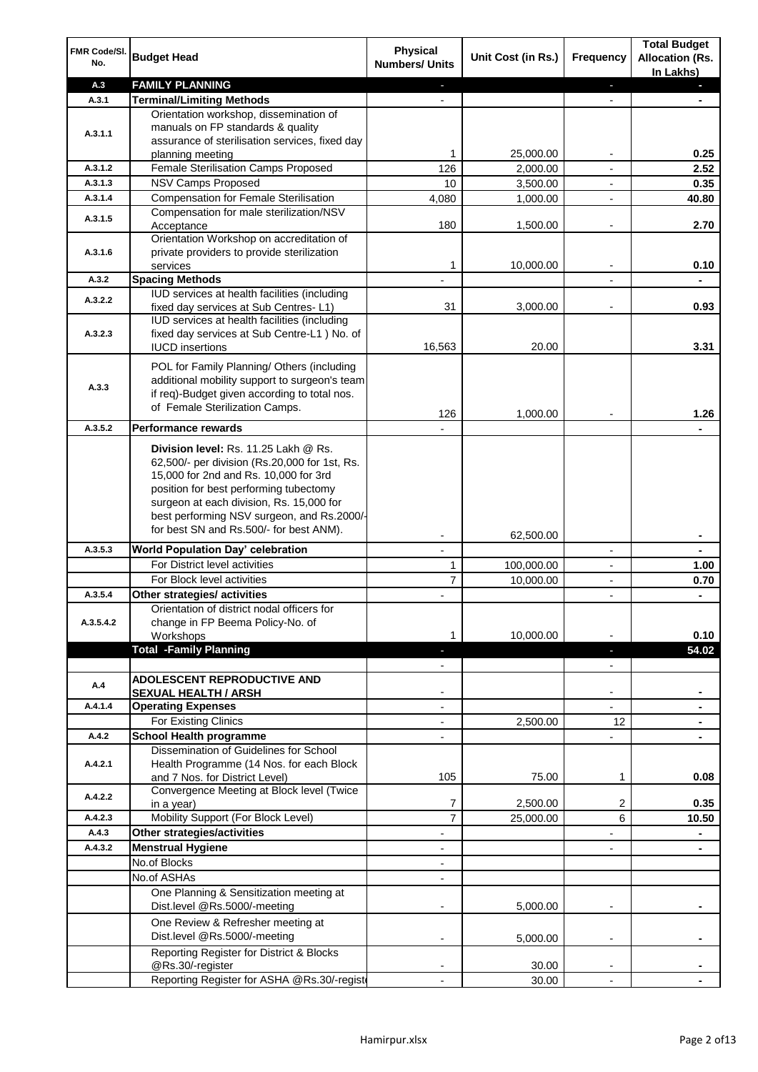| FMR Code/SI.<br>No. | <b>Budget Head</b>                                                                                                                                                                                                                                                                                            | Physical<br><b>Numbers/ Units</b> | Unit Cost (in Rs.) | Frequency                | <b>Total Budget</b><br><b>Allocation (Rs.</b><br>In Lakhs) |
|---------------------|---------------------------------------------------------------------------------------------------------------------------------------------------------------------------------------------------------------------------------------------------------------------------------------------------------------|-----------------------------------|--------------------|--------------------------|------------------------------------------------------------|
| A.3                 | <b>FAMILY PLANNING</b>                                                                                                                                                                                                                                                                                        |                                   |                    | ٠                        |                                                            |
| A.3.1               | <b>Terminal/Limiting Methods</b>                                                                                                                                                                                                                                                                              |                                   |                    |                          |                                                            |
| A.3.1.1             | Orientation workshop, dissemination of<br>manuals on FP standards & quality<br>assurance of sterilisation services, fixed day                                                                                                                                                                                 |                                   |                    |                          |                                                            |
|                     | planning meeting                                                                                                                                                                                                                                                                                              | 1.                                | 25,000.00          |                          | 0.25                                                       |
| A.3.1.2             | Female Sterilisation Camps Proposed                                                                                                                                                                                                                                                                           | 126                               | 2,000.00           |                          | 2.52                                                       |
| A.3.1.3<br>A.3.1.4  | NSV Camps Proposed                                                                                                                                                                                                                                                                                            | 10                                | 3,500.00           |                          | 0.35                                                       |
|                     | <b>Compensation for Female Sterilisation</b>                                                                                                                                                                                                                                                                  | 4,080                             | 1,000.00           |                          | 40.80                                                      |
| A.3.1.5             | Compensation for male sterilization/NSV<br>Acceptance<br>Orientation Workshop on accreditation of                                                                                                                                                                                                             | 180                               | 1,500.00           |                          | 2.70                                                       |
| A.3.1.6             | private providers to provide sterilization<br>services                                                                                                                                                                                                                                                        | 1                                 | 10,000.00          |                          | 0.10                                                       |
| A.3.2               | <b>Spacing Methods</b>                                                                                                                                                                                                                                                                                        |                                   |                    |                          |                                                            |
| A.3.2.2             | IUD services at health facilities (including<br>fixed day services at Sub Centres-L1)                                                                                                                                                                                                                         | 31                                | 3,000.00           |                          | 0.93                                                       |
| A.3.2.3             | IUD services at health facilities (including<br>fixed day services at Sub Centre-L1 ) No. of                                                                                                                                                                                                                  | 16,563                            | 20.00              |                          | 3.31                                                       |
|                     | <b>IUCD</b> insertions                                                                                                                                                                                                                                                                                        |                                   |                    |                          |                                                            |
| A.3.3               | POL for Family Planning/ Others (including<br>additional mobility support to surgeon's team<br>if req)-Budget given according to total nos.<br>of Female Sterilization Camps.                                                                                                                                 | 126                               | 1,000.00           |                          | 1.26                                                       |
| A.3.5.2             | <b>Performance rewards</b>                                                                                                                                                                                                                                                                                    |                                   |                    |                          |                                                            |
|                     | Division level: Rs. 11.25 Lakh @ Rs.<br>62,500/- per division (Rs.20,000 for 1st, Rs.<br>15,000 for 2nd and Rs. 10,000 for 3rd<br>position for best performing tubectomy<br>surgeon at each division, Rs. 15,000 for<br>best performing NSV surgeon, and Rs.2000/-<br>for best SN and Rs.500/- for best ANM). |                                   | 62,500.00          |                          |                                                            |
| A.3.5.3             | <b>World Population Day' celebration</b>                                                                                                                                                                                                                                                                      |                                   |                    |                          |                                                            |
|                     | For District level activities                                                                                                                                                                                                                                                                                 | 1                                 | 100,000.00         |                          | 1.00                                                       |
|                     | For Block level activities                                                                                                                                                                                                                                                                                    | $\overline{7}$                    | 10,000.00          |                          | 0.70                                                       |
| A.3.5.4             | Other strategies/ activities                                                                                                                                                                                                                                                                                  |                                   |                    | $\overline{\phantom{0}}$ | $\blacksquare$                                             |
| A.3.5.4.2           | Orientation of district nodal officers for<br>change in FP Beema Policy-No. of<br>Workshops<br><b>Total -Family Planning</b>                                                                                                                                                                                  | 1.                                | 10,000.00          |                          | 0.10<br>54.02                                              |
|                     |                                                                                                                                                                                                                                                                                                               |                                   |                    | ٠                        |                                                            |
| A.4                 | ADOLESCENT REPRODUCTIVE AND<br><b>SEXUAL HEALTH / ARSH</b>                                                                                                                                                                                                                                                    |                                   |                    |                          |                                                            |
| A.4.1.4             | <b>Operating Expenses</b>                                                                                                                                                                                                                                                                                     |                                   |                    | $\overline{a}$           |                                                            |
|                     | For Existing Clinics                                                                                                                                                                                                                                                                                          |                                   | 2,500.00           | 12                       | ٠                                                          |
| A.4.2               | <b>School Health programme</b>                                                                                                                                                                                                                                                                                |                                   |                    |                          |                                                            |
| A.4.2.1             | Dissemination of Guidelines for School<br>Health Programme (14 Nos. for each Block                                                                                                                                                                                                                            | 105                               |                    |                          |                                                            |
|                     | and 7 Nos. for District Level)<br>Convergence Meeting at Block level (Twice                                                                                                                                                                                                                                   |                                   | 75.00              | 1                        | 0.08                                                       |
| A.4.2.2             | in a year)                                                                                                                                                                                                                                                                                                    | 7                                 | 2,500.00           | 2                        | 0.35                                                       |
| A.4.2.3             | Mobility Support (For Block Level)                                                                                                                                                                                                                                                                            | $\overline{7}$                    | 25,000.00          | 6                        | 10.50                                                      |
| A.4.3               | Other strategies/activities                                                                                                                                                                                                                                                                                   | $\overline{\phantom{a}}$          |                    | $\overline{a}$           | $\blacksquare$                                             |
| A.4.3.2             | <b>Menstrual Hygiene</b>                                                                                                                                                                                                                                                                                      |                                   |                    |                          |                                                            |
|                     | No.of Blocks                                                                                                                                                                                                                                                                                                  |                                   |                    |                          |                                                            |
|                     | No.of ASHAs                                                                                                                                                                                                                                                                                                   |                                   |                    |                          |                                                            |
|                     | One Planning & Sensitization meeting at<br>Dist.level @Rs.5000/-meeting                                                                                                                                                                                                                                       |                                   | 5,000.00           |                          |                                                            |
|                     | One Review & Refresher meeting at<br>Dist.level @Rs.5000/-meeting                                                                                                                                                                                                                                             |                                   | 5,000.00           |                          |                                                            |
|                     | Reporting Register for District & Blocks<br>@Rs.30/-register                                                                                                                                                                                                                                                  |                                   | 30.00              | $\overline{a}$           |                                                            |
|                     | Reporting Register for ASHA @Rs.30/-regist                                                                                                                                                                                                                                                                    | $\overline{\phantom{a}}$          | 30.00              | $\overline{a}$           |                                                            |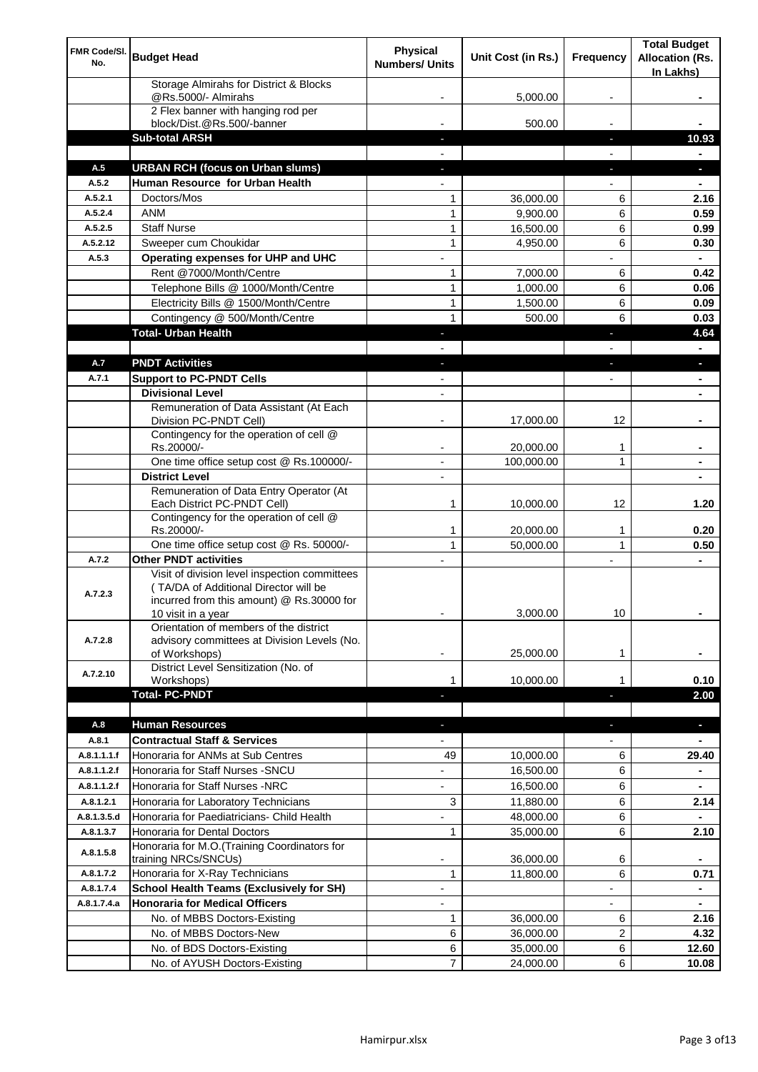| FMR Code/SI.<br>No. | <b>Budget Head</b>                                                     | <b>Physical</b><br><b>Numbers/ Units</b> | Unit Cost (in Rs.)     | Frequency                | <b>Total Budget</b><br><b>Allocation (Rs.</b><br>In Lakhs) |
|---------------------|------------------------------------------------------------------------|------------------------------------------|------------------------|--------------------------|------------------------------------------------------------|
|                     | Storage Almirahs for District & Blocks<br>@Rs.5000/- Almirahs          |                                          | 5,000.00               |                          |                                                            |
|                     | 2 Flex banner with hanging rod per                                     |                                          |                        |                          |                                                            |
|                     | block/Dist.@Rs.500/-banner<br><b>Sub-total ARSH</b>                    |                                          | 500.00                 |                          | 10.93                                                      |
|                     |                                                                        | ٠                                        |                        | J,                       |                                                            |
| A.5                 | <b>URBAN RCH (focus on Urban slums)</b>                                |                                          |                        |                          | ٠                                                          |
| A.5.2               | Human Resource for Urban Health                                        |                                          |                        |                          |                                                            |
| A.5.2.1             | Doctors/Mos                                                            | 1                                        | 36,000.00              | 6                        | 2.16                                                       |
| A.5.2.4             | <b>ANM</b>                                                             | $\mathbf{1}$                             | 9,900.00               | 6                        | 0.59                                                       |
| A.5.2.5             | <b>Staff Nurse</b>                                                     | $\mathbf{1}$                             | 16,500.00              | 6                        | 0.99                                                       |
| A.5.2.12            | Sweeper cum Choukidar                                                  | $\mathbf{1}$                             | 4,950.00               | 6                        | 0.30                                                       |
| A.5.3               | Operating expenses for UHP and UHC                                     |                                          |                        |                          |                                                            |
|                     | Rent @7000/Month/Centre                                                | $\mathbf{1}$                             | 7,000.00               | 6                        | 0.42                                                       |
|                     | Telephone Bills @ 1000/Month/Centre                                    | 1                                        | 1,000.00               | 6                        | 0.06                                                       |
|                     | Electricity Bills @ 1500/Month/Centre                                  | 1                                        | 1,500.00               | 6                        | 0.09                                                       |
|                     | Contingency @ 500/Month/Centre                                         | 1                                        | 500.00                 | 6                        | 0.03                                                       |
|                     | <b>Total- Urban Health</b>                                             |                                          |                        |                          | 4.64                                                       |
|                     |                                                                        |                                          |                        |                          |                                                            |
| A.7                 | <b>PNDT Activities</b>                                                 |                                          |                        |                          | a,                                                         |
| A.7.1               | <b>Support to PC-PNDT Cells</b>                                        |                                          |                        |                          |                                                            |
|                     | <b>Divisional Level</b>                                                |                                          |                        |                          |                                                            |
|                     | Remuneration of Data Assistant (At Each                                |                                          |                        |                          |                                                            |
|                     | Division PC-PNDT Cell)                                                 |                                          | 17,000.00              | 12                       |                                                            |
|                     | Contingency for the operation of cell @<br>Rs.20000/-                  |                                          | 20,000.00              | 1                        |                                                            |
|                     | One time office setup cost @ Rs.100000/-                               | ۰                                        | 100,000.00             | $\mathbf{1}$             |                                                            |
|                     | <b>District Level</b>                                                  |                                          |                        |                          |                                                            |
|                     | Remuneration of Data Entry Operator (At<br>Each District PC-PNDT Cell) | 1                                        | 10,000.00              | 12                       | 1.20                                                       |
|                     | Contingency for the operation of cell @                                |                                          |                        |                          |                                                            |
|                     | Rs.20000/-<br>One time office setup cost @ Rs. 50000/-                 | 1<br>$\mathbf{1}$                        | 20,000.00<br>50,000.00 | 1<br>$\mathbf{1}$        | 0.20<br>0.50                                               |
| A.7.2               | <b>Other PNDT activities</b>                                           | $\overline{a}$                           |                        | $\overline{a}$           | $\blacksquare$                                             |
|                     | Visit of division level inspection committees                          |                                          |                        |                          |                                                            |
| A.7.2.3             | (TA/DA of Additional Director will be                                  |                                          |                        |                          |                                                            |
|                     | incurred from this amount) @ Rs.30000 for                              |                                          |                        |                          |                                                            |
|                     | 10 visit in a year<br>Orientation of members of the district           | -                                        | 3,000.00               | 10                       | ٠                                                          |
| A.7.2.8             | advisory committees at Division Levels (No.                            |                                          |                        |                          |                                                            |
|                     | of Workshops)                                                          |                                          | 25,000.00              | 1                        |                                                            |
| A.7.2.10            | District Level Sensitization (No. of                                   |                                          |                        |                          |                                                            |
|                     | Workshops)                                                             | 1                                        | 10,000.00              | 1                        | 0.10                                                       |
|                     | <b>Total- PC-PNDT</b>                                                  |                                          |                        |                          | 2.00                                                       |
|                     |                                                                        |                                          |                        |                          |                                                            |
| A.8                 | <b>Human Resources</b>                                                 |                                          |                        |                          | ٠                                                          |
| A.8.1               | <b>Contractual Staff &amp; Services</b>                                |                                          |                        |                          |                                                            |
| A.8.1.1.1.f         | Honoraria for ANMs at Sub Centres                                      | 49                                       | 10,000.00              | 6                        | 29.40                                                      |
| A.8.1.1.2.f         | Honoraria for Staff Nurses - SNCU                                      |                                          | 16,500.00              | 6                        |                                                            |
| A.8.1.1.2.f         | Honoraria for Staff Nurses -NRC                                        |                                          | 16,500.00              | 6                        |                                                            |
| A.8.1.2.1           | Honoraria for Laboratory Technicians                                   | 3                                        | 11,880.00              | 6                        | 2.14                                                       |
| A.8.1.3.5.d         | Honoraria for Paediatricians- Child Health                             |                                          | 48,000.00              | 6                        |                                                            |
| A.8.1.3.7           | Honoraria for Dental Doctors                                           | 1                                        | 35,000.00              | 6                        | 2.10                                                       |
| A.8.1.5.8           | Honoraria for M.O.(Training Coordinators for<br>training NRCs/SNCUs)   |                                          | 36,000.00              | 6                        |                                                            |
| A.8.1.7.2           | Honoraria for X-Ray Technicians                                        | 1                                        | 11,800.00              | 6                        | 0.71                                                       |
| A.8.1.7.4           | <b>School Health Teams (Exclusively for SH)</b>                        | $\overline{\phantom{a}}$                 |                        |                          | $\blacksquare$                                             |
| A.8.1.7.4.a         | <b>Honoraria for Medical Officers</b>                                  | $\overline{\phantom{a}}$                 |                        | $\overline{\phantom{a}}$ | ۰                                                          |
|                     | No. of MBBS Doctors-Existing                                           | 1                                        | 36,000.00              | 6                        | 2.16                                                       |
|                     | No. of MBBS Doctors-New                                                | 6                                        | 36,000.00              | 2                        | 4.32                                                       |
|                     | No. of BDS Doctors-Existing                                            | 6                                        | 35,000.00              | 6                        | 12.60                                                      |
|                     | No. of AYUSH Doctors-Existing                                          | 7                                        | 24,000.00              | 6                        | 10.08                                                      |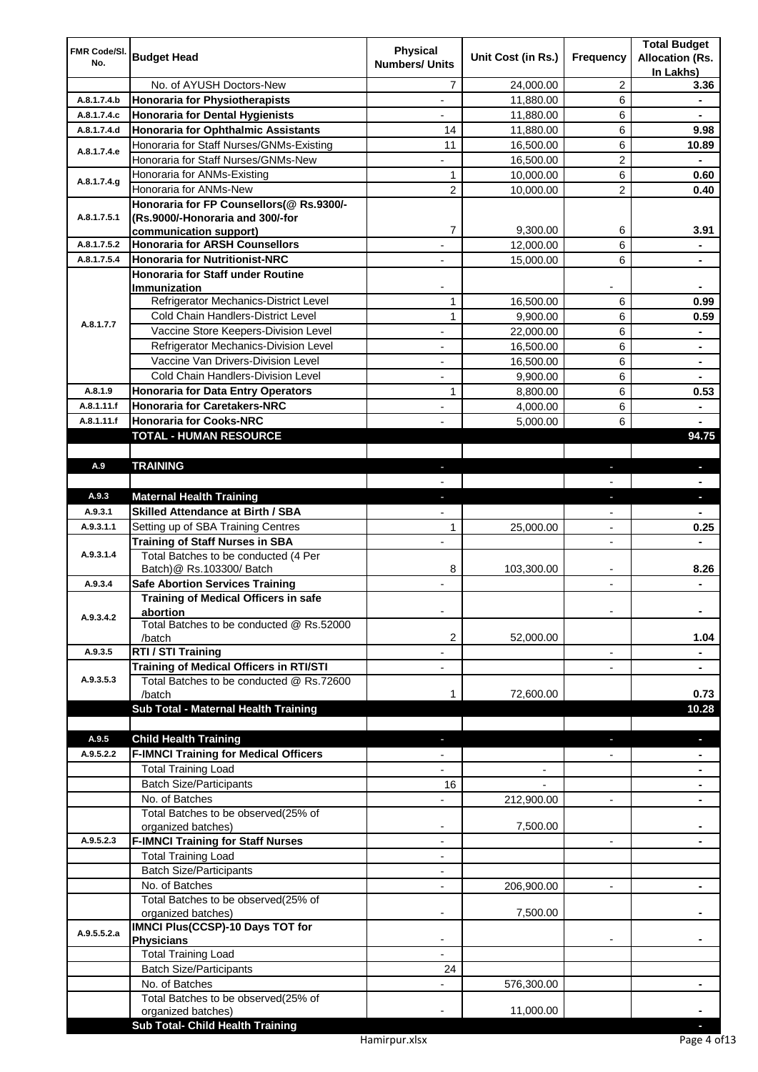| FMR Code/SI.<br>No. | <b>Budget Head</b>                                                          | <b>Physical</b><br><b>Numbers/ Units</b> | Unit Cost (in Rs.) | Frequency                | <b>Total Budget</b><br><b>Allocation (Rs.</b> |
|---------------------|-----------------------------------------------------------------------------|------------------------------------------|--------------------|--------------------------|-----------------------------------------------|
|                     | No. of AYUSH Doctors-New                                                    | 7                                        | 24,000.00          | 2                        | In Lakhs)<br>3.36                             |
| A.8.1.7.4.b         | Honoraria for Physiotherapists                                              | $\overline{\phantom{a}}$                 | 11,880.00          | 6                        | $\blacksquare$                                |
| A.8.1.7.4.c         | <b>Honoraria for Dental Hygienists</b>                                      | $\blacksquare$                           | 11,880.00          | 6                        | ۰                                             |
| A.8.1.7.4.d         | <b>Honoraria for Ophthalmic Assistants</b>                                  | 14                                       | 11,880.00          | 6                        | 9.98                                          |
|                     | Honoraria for Staff Nurses/GNMs-Existing                                    | 11                                       | 16,500.00          | 6                        | 10.89                                         |
| A.8.1.7.4.e         | Honoraria for Staff Nurses/GNMs-New                                         | ۰                                        | 16,500.00          | 2                        | -                                             |
|                     | Honoraria for ANMs-Existing                                                 | 1                                        | 10,000.00          | 6                        | 0.60                                          |
| A.8.1.7.4.g         | Honoraria for ANMs-New                                                      | $\overline{2}$                           | 10,000.00          | 2                        | 0.40                                          |
|                     | Honoraria for FP Counsellors(@ Rs.9300/-                                    |                                          |                    |                          |                                               |
| A.8.1.7.5.1         | (Rs.9000/-Honoraria and 300/-for                                            |                                          |                    |                          |                                               |
|                     | communication support)                                                      | 7                                        | 9,300.00           | 6                        | 3.91                                          |
| A.8.1.7.5.2         | <b>Honoraria for ARSH Counsellors</b>                                       |                                          | 12,000.00          | 6                        |                                               |
| A.8.1.7.5.4         | <b>Honoraria for Nutritionist-NRC</b>                                       | $\blacksquare$                           | 15,000.00          | 6                        | $\blacksquare$                                |
|                     | Honoraria for Staff under Routine                                           |                                          |                    |                          |                                               |
|                     | Immunization                                                                |                                          |                    |                          |                                               |
|                     | Refrigerator Mechanics-District Level                                       | 1                                        | 16,500.00          | 6                        | 0.99                                          |
| A.8.1.7.7           | Cold Chain Handlers-District Level                                          | $\mathbf{1}$                             | 9,900.00           | 6                        | 0.59                                          |
|                     | Vaccine Store Keepers-Division Level                                        |                                          | 22,000.00          | 6                        |                                               |
|                     | Refrigerator Mechanics-Division Level                                       | $\blacksquare$                           | 16,500.00          | 6                        |                                               |
|                     | Vaccine Van Drivers-Division Level                                          | $\overline{\phantom{0}}$                 | 16,500.00          | 6                        |                                               |
| A.8.1.9             | Cold Chain Handlers-Division Level                                          |                                          | 9,900.00           | 6                        |                                               |
| A.8.1.11.f          | Honoraria for Data Entry Operators                                          | 1                                        | 8,800.00           | 6                        | 0.53                                          |
|                     | <b>Honoraria for Caretakers-NRC</b><br><b>Honoraria for Cooks-NRC</b>       |                                          | 4,000.00           | 6                        | $\blacksquare$                                |
| A.8.1.11.f          |                                                                             | $\overline{a}$                           | 5,000.00           | 6                        | ä,<br>94.75                                   |
|                     | <b>TOTAL - HUMAN RESOURCE</b>                                               |                                          |                    |                          |                                               |
| A.9                 | <b>TRAINING</b>                                                             |                                          |                    |                          |                                               |
|                     |                                                                             | $\blacksquare$                           |                    | ٠                        | ٠                                             |
| A.9.3               |                                                                             |                                          |                    |                          | $\blacksquare$<br>÷,                          |
| A.9.3.1             | <b>Maternal Health Training</b><br><b>Skilled Attendance at Birth / SBA</b> | $\blacksquare$                           |                    | ×,                       |                                               |
| A.9.3.1.1           | Setting up of SBA Training Centres                                          | $\overline{\phantom{a}}$<br>1            |                    | $\overline{\phantom{a}}$ | $\blacksquare$<br>0.25                        |
|                     | <b>Training of Staff Nurses in SBA</b>                                      |                                          | 25,000.00          | $\overline{\phantom{a}}$ |                                               |
| A.9.3.1.4           | Total Batches to be conducted (4 Per                                        | $\overline{\phantom{a}}$                 |                    | $\overline{\phantom{a}}$ | ۰                                             |
|                     | Batch)@ Rs.103300/ Batch                                                    | 8                                        | 103,300.00         | $\overline{\phantom{a}}$ | 8.26                                          |
| A.9.3.4             | <b>Safe Abortion Services Training</b>                                      |                                          |                    |                          |                                               |
|                     | <b>Training of Medical Officers in safe</b>                                 |                                          |                    |                          |                                               |
| A.9.3.4.2           | abortion                                                                    | $\overline{\phantom{a}}$                 |                    | $\blacksquare$           | ۰.                                            |
|                     | Total Batches to be conducted @ Rs.52000                                    |                                          |                    |                          |                                               |
|                     | /batch                                                                      | 2                                        | 52,000.00          |                          | 1.04                                          |
| A.9.3.5             | RTI / STI Training                                                          |                                          |                    |                          |                                               |
| A.9.3.5.3           | <b>Training of Medical Officers in RTI/STI</b>                              |                                          |                    |                          |                                               |
|                     | Total Batches to be conducted @ Rs.72600<br>/batch                          | 1                                        | 72,600.00          |                          | 0.73                                          |
|                     | Sub Total - Maternal Health Training                                        |                                          |                    |                          | 10.28                                         |
|                     |                                                                             |                                          |                    |                          |                                               |
| A.9.5               | <b>Child Health Training</b>                                                | н                                        |                    |                          | ٠                                             |
| A.9.5.2.2           | <b>F-IMNCI Training for Medical Officers</b>                                |                                          |                    |                          |                                               |
|                     | <b>Total Training Load</b>                                                  |                                          |                    |                          |                                               |
|                     | <b>Batch Size/Participants</b>                                              | 16                                       |                    |                          |                                               |
|                     | No. of Batches                                                              |                                          | 212,900.00         |                          |                                               |
|                     | Total Batches to be observed(25% of                                         |                                          |                    |                          |                                               |
|                     | organized batches)                                                          |                                          | 7,500.00           |                          |                                               |
| A.9.5.2.3           | <b>F-IMNCI Training for Staff Nurses</b>                                    | $\blacksquare$                           |                    | $\overline{\phantom{a}}$ | ٠                                             |
|                     | <b>Total Training Load</b>                                                  | $\overline{\phantom{a}}$                 |                    |                          |                                               |
|                     | <b>Batch Size/Participants</b>                                              | $\blacksquare$                           |                    |                          |                                               |
|                     | No. of Batches                                                              | $\overline{\phantom{a}}$                 | 206,900.00         | $\overline{\phantom{a}}$ | $\blacksquare$                                |
|                     | Total Batches to be observed(25% of                                         |                                          |                    |                          |                                               |
|                     | organized batches)                                                          |                                          | 7,500.00           |                          |                                               |
| A.9.5.5.2.a         | <b>IMNCI Plus(CCSP)-10 Days TOT for</b>                                     | $\overline{\phantom{a}}$                 |                    | $\overline{\phantom{a}}$ | ۰                                             |
|                     | <b>Physicians</b><br><b>Total Training Load</b>                             |                                          |                    |                          |                                               |
|                     | <b>Batch Size/Participants</b>                                              | 24                                       |                    |                          |                                               |
|                     | No. of Batches                                                              |                                          | 576,300.00         |                          | ۰                                             |
|                     | Total Batches to be observed(25% of                                         |                                          |                    |                          |                                               |
|                     | organized batches)                                                          |                                          | 11,000.00          |                          |                                               |
|                     | Sub Total- Child Health Training                                            |                                          |                    |                          |                                               |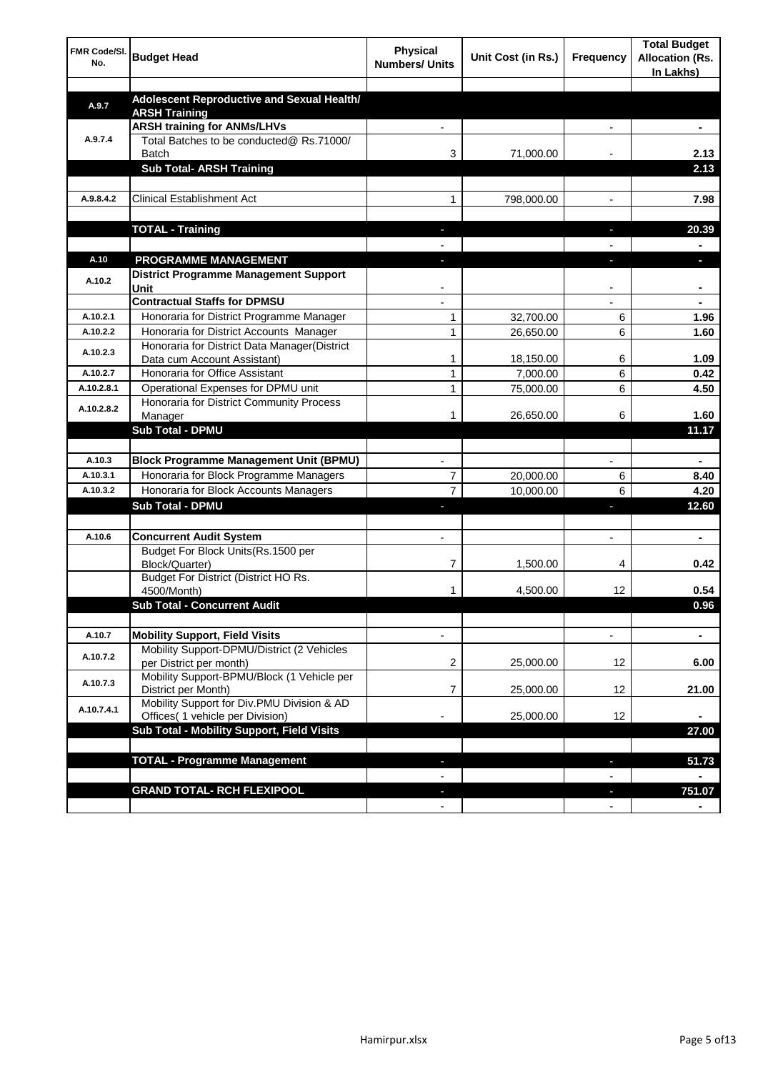| FMR Code/SI.<br>No. | <b>Budget Head</b>                                                 | <b>Physical</b><br><b>Numbers/ Units</b> | Unit Cost (in Rs.) | Frequency      | <b>Total Budget</b><br><b>Allocation (Rs.</b><br>In Lakhs) |
|---------------------|--------------------------------------------------------------------|------------------------------------------|--------------------|----------------|------------------------------------------------------------|
|                     |                                                                    |                                          |                    |                |                                                            |
| A.9.7               | Adolescent Reproductive and Sexual Health/<br><b>ARSH Training</b> |                                          |                    |                |                                                            |
|                     | <b>ARSH training for ANMs/LHVs</b>                                 |                                          |                    |                |                                                            |
| A.9.7.4             | Total Batches to be conducted@ Rs.71000/                           |                                          |                    |                |                                                            |
|                     | <b>Batch</b>                                                       | 3                                        | 71,000.00          |                | 2.13                                                       |
|                     | <b>Sub Total- ARSH Training</b>                                    |                                          |                    |                | 2.13                                                       |
|                     |                                                                    |                                          |                    |                |                                                            |
| A.9.8.4.2           | <b>Clinical Establishment Act</b>                                  | 1                                        | 798,000.00         | $\overline{a}$ | 7.98                                                       |
|                     |                                                                    |                                          |                    |                |                                                            |
|                     | <b>TOTAL - Training</b>                                            | $\overline{\phantom{a}}$                 |                    | r.             | 20.39                                                      |
|                     |                                                                    | $\overline{a}$                           |                    |                | $\blacksquare$                                             |
| A.10                | PROGRAMME MANAGEMENT                                               | J.                                       |                    | J,             | ×.                                                         |
| A.10.2              | <b>District Programme Management Support</b>                       |                                          |                    |                |                                                            |
|                     | Unit                                                               |                                          |                    |                |                                                            |
|                     | <b>Contractual Staffs for DPMSU</b>                                |                                          |                    |                |                                                            |
| A.10.2.1            | Honoraria for District Programme Manager                           | 1                                        | 32,700.00          | 6              | 1.96                                                       |
| A.10.2.2            | Honoraria for District Accounts Manager                            | 1                                        | 26,650.00          | 6              | 1.60                                                       |
| A.10.2.3            | Honoraria for District Data Manager(District                       |                                          |                    |                |                                                            |
|                     | Data cum Account Assistant)                                        | 1                                        | 18,150.00          | 6              | 1.09                                                       |
| A.10.2.7            | Honoraria for Office Assistant                                     | 1                                        | 7,000.00           | 6              | 0.42                                                       |
| A.10.2.8.1          | Operational Expenses for DPMU unit                                 | 1                                        | 75,000.00          | 6              | 4.50                                                       |
| A.10.2.8.2          | Honoraria for District Community Process<br>Manager                | 1                                        | 26,650.00          | 6              | 1.60                                                       |
|                     | <b>Sub Total - DPMU</b>                                            |                                          |                    |                | 11.17                                                      |
|                     |                                                                    |                                          |                    |                |                                                            |
| A.10.3              | <b>Block Programme Management Unit (BPMU)</b>                      |                                          |                    |                |                                                            |
| A.10.3.1            | Honoraria for Block Programme Managers                             | 7                                        | 20,000.00          | 6              | 8.40                                                       |
| A.10.3.2            | Honoraria for Block Accounts Managers                              | $\overline{7}$                           | 10,000.00          | 6              | 4.20                                                       |
|                     | <b>Sub Total - DPMU</b>                                            |                                          |                    | ı              | 12.60                                                      |
|                     |                                                                    |                                          |                    |                |                                                            |
| A.10.6              | <b>Concurrent Audit System</b>                                     |                                          |                    |                |                                                            |
|                     | Budget For Block Units(Rs.1500 per                                 |                                          |                    |                |                                                            |
|                     | Block/Quarter)                                                     | 7                                        | 1,500.00           | 4              | 0.42                                                       |
|                     | Budget For District (District HO Rs.                               |                                          |                    |                |                                                            |
|                     | 4500/Month)                                                        | 1                                        | 4,500.00           | 12             | 0.54                                                       |
|                     | <b>Sub Total - Concurrent Audit</b>                                |                                          |                    |                | 0.96                                                       |
|                     |                                                                    |                                          |                    |                |                                                            |
| A.10.7              | <b>Mobility Support, Field Visits</b>                              |                                          |                    |                |                                                            |
| A.10.7.2            | Mobility Support-DPMU/District (2 Vehicles                         |                                          |                    |                |                                                            |
|                     | per District per month)                                            | 2                                        | 25,000.00          | 12             | 6.00                                                       |
| A.10.7.3            | Mobility Support-BPMU/Block (1 Vehicle per<br>District per Month)  | 7                                        | 25,000.00          | 12             | 21.00                                                      |
|                     | Mobility Support for Div.PMU Division & AD                         |                                          |                    |                |                                                            |
| A.10.7.4.1          | Offices( 1 vehicle per Division)                                   |                                          | 25,000.00          | 12             |                                                            |
|                     | Sub Total - Mobility Support, Field Visits                         |                                          |                    |                | 27.00                                                      |
|                     |                                                                    |                                          |                    |                |                                                            |
|                     | <b>TOTAL - Programme Management</b>                                |                                          |                    |                | 51.73                                                      |
|                     |                                                                    |                                          |                    |                |                                                            |
|                     | <b>GRAND TOTAL- RCH FLEXIPOOL</b>                                  |                                          |                    | J,             | 751.07                                                     |
|                     |                                                                    |                                          |                    |                |                                                            |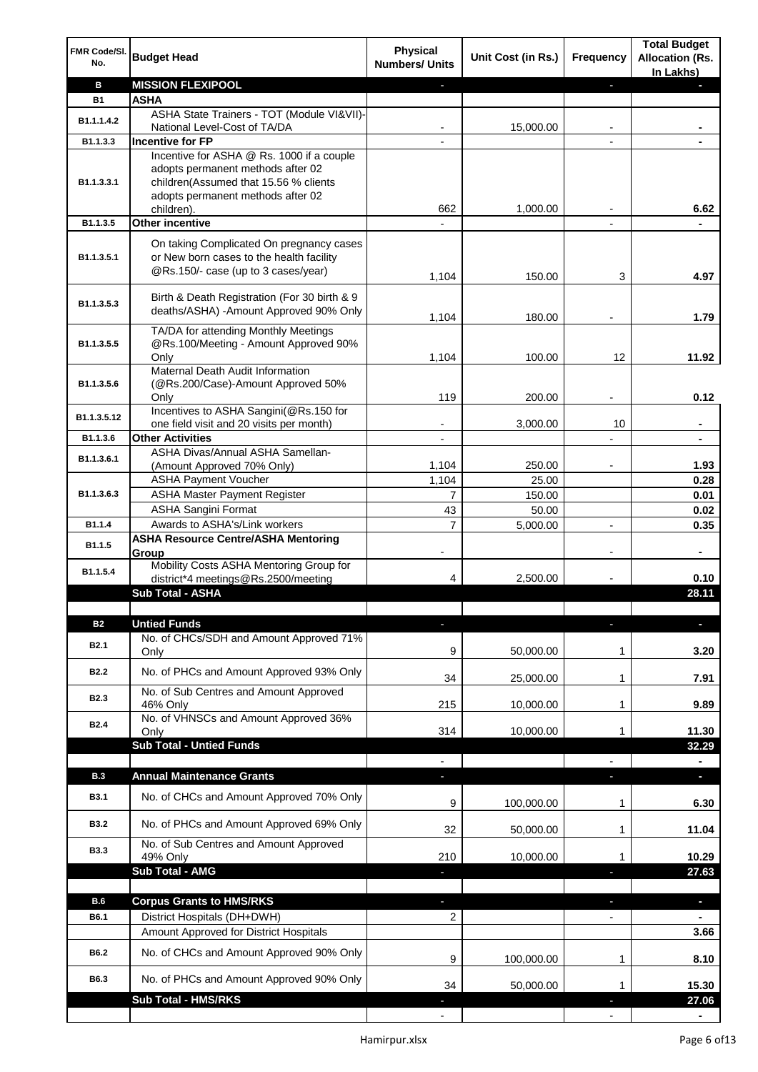| FMR Code/SI.<br>No. | <b>Budget Head</b>                                                                                                          | <b>Physical</b><br><b>Numbers/ Units</b> | Unit Cost (in Rs.) | Frequency                | <b>Total Budget</b><br><b>Allocation (Rs.</b><br>In Lakhs) |
|---------------------|-----------------------------------------------------------------------------------------------------------------------------|------------------------------------------|--------------------|--------------------------|------------------------------------------------------------|
| в                   | <b>MISSION FLEXIPOOL</b>                                                                                                    |                                          |                    | J,                       |                                                            |
| <b>B1</b>           | <b>ASHA</b>                                                                                                                 |                                          |                    |                          |                                                            |
| B1.1.1.4.2          | ASHA State Trainers - TOT (Module VI&VII)-                                                                                  |                                          |                    |                          |                                                            |
| B1.1.3.3            | National Level-Cost of TA/DA<br><b>Incentive for FP</b>                                                                     |                                          | 15,000.00          |                          |                                                            |
|                     | Incentive for ASHA @ Rs. 1000 if a couple                                                                                   |                                          |                    |                          |                                                            |
| B1.1.3.3.1          | adopts permanent methods after 02<br>children(Assumed that 15.56 % clients<br>adopts permanent methods after 02             |                                          |                    |                          |                                                            |
|                     | children).                                                                                                                  | 662                                      | 1,000.00           |                          | 6.62                                                       |
| B1.1.3.5            | <b>Other incentive</b>                                                                                                      | $\overline{\phantom{a}}$                 |                    | $\blacksquare$           |                                                            |
| B1.1.3.5.1          | On taking Complicated On pregnancy cases<br>or New born cases to the health facility<br>@Rs.150/- case (up to 3 cases/year) | 1,104                                    | 150.00             | 3                        | 4.97                                                       |
| B1.1.3.5.3          | Birth & Death Registration (For 30 birth & 9<br>deaths/ASHA) - Amount Approved 90% Only                                     | 1,104                                    | 180.00             |                          | 1.79                                                       |
|                     | TA/DA for attending Monthly Meetings                                                                                        |                                          |                    |                          |                                                            |
| B1.1.3.5.5          | @Rs.100/Meeting - Amount Approved 90%                                                                                       |                                          |                    |                          |                                                            |
|                     | Only                                                                                                                        | 1,104                                    | 100.00             | 12                       | 11.92                                                      |
| B1.1.3.5.6          | Maternal Death Audit Information<br>(@Rs.200/Case)-Amount Approved 50%                                                      |                                          |                    |                          |                                                            |
|                     | Only                                                                                                                        | 119                                      | 200.00             |                          | 0.12                                                       |
| B1.1.3.5.12         | Incentives to ASHA Sangini(@Rs.150 for                                                                                      |                                          |                    |                          |                                                            |
|                     | one field visit and 20 visits per month)                                                                                    |                                          | 3,000.00           | 10                       | ä,                                                         |
| B1.1.3.6            | <b>Other Activities</b>                                                                                                     | $\overline{\phantom{a}}$                 |                    | $\overline{a}$           | $\blacksquare$                                             |
| B1.1.3.6.1          | ASHA Divas/Annual ASHA Samellan-<br>(Amount Approved 70% Only)                                                              | 1,104                                    | 250.00             |                          | 1.93                                                       |
|                     | <b>ASHA Payment Voucher</b>                                                                                                 | 1,104                                    | 25.00              |                          | 0.28                                                       |
| B1.1.3.6.3          | <b>ASHA Master Payment Register</b>                                                                                         | $\overline{7}$                           | 150.00             |                          | 0.01                                                       |
|                     | <b>ASHA Sangini Format</b>                                                                                                  | 43                                       | 50.00              |                          | 0.02                                                       |
| B1.1.4              | Awards to ASHA's/Link workers                                                                                               | $\overline{7}$                           | 5,000.00           | $\overline{a}$           | 0.35                                                       |
| B1.1.5              | <b>ASHA Resource Centre/ASHA Mentoring</b><br>Group                                                                         | $\overline{\phantom{a}}$                 |                    | $\overline{\phantom{a}}$ | ٠                                                          |
| B1.1.5.4            | Mobility Costs ASHA Mentoring Group for<br>district*4 meetings@Rs.2500/meeting                                              | 4                                        | 2,500.00           |                          | 0.10                                                       |
|                     | <b>Sub Total - ASHA</b>                                                                                                     |                                          |                    |                          | 28.11                                                      |
|                     |                                                                                                                             |                                          |                    |                          |                                                            |
| <b>B2</b>           | <b>Untied Funds</b>                                                                                                         | E.                                       |                    | п                        |                                                            |
| B <sub>2.1</sub>    | No. of CHCs/SDH and Amount Approved 71%<br>Only                                                                             | 9                                        | 50,000.00          | 1                        | 3.20                                                       |
| <b>B2.2</b>         | No. of PHCs and Amount Approved 93% Only                                                                                    | 34                                       | 25,000.00          | 1                        | 7.91                                                       |
|                     | No. of Sub Centres and Amount Approved                                                                                      |                                          |                    |                          |                                                            |
| B <sub>2.3</sub>    | 46% Only                                                                                                                    | 215                                      | 10,000.00          | 1                        | 9.89                                                       |
| <b>B2.4</b>         | No. of VHNSCs and Amount Approved 36%                                                                                       | 314                                      | 10,000.00          | 1                        | 11.30                                                      |
|                     | Only<br><b>Sub Total - Untied Funds</b>                                                                                     |                                          |                    |                          | 32.29                                                      |
|                     |                                                                                                                             |                                          |                    |                          |                                                            |
| <b>B.3</b>          | <b>Annual Maintenance Grants</b>                                                                                            | J,                                       |                    | T                        | o,                                                         |
| <b>B3.1</b>         | No. of CHCs and Amount Approved 70% Only                                                                                    | 9                                        | 100,000.00         | 1                        | 6.30                                                       |
| <b>B3.2</b>         | No. of PHCs and Amount Approved 69% Only                                                                                    | 32                                       | 50,000.00          | 1                        | 11.04                                                      |
| <b>B3.3</b>         | No. of Sub Centres and Amount Approved<br>49% Only                                                                          | 210                                      | 10,000.00          | 1                        | 10.29                                                      |
|                     | <b>Sub Total - AMG</b>                                                                                                      |                                          |                    | п                        | 27.63                                                      |
|                     |                                                                                                                             |                                          |                    |                          |                                                            |
| <b>B.6</b>          | <b>Corpus Grants to HMS/RKS</b>                                                                                             | J,                                       |                    | ı                        | $\overline{\phantom{a}}$                                   |
| B6.1                | District Hospitals (DH+DWH)                                                                                                 | 2                                        |                    | $\overline{\phantom{0}}$ |                                                            |
|                     | Amount Approved for District Hospitals                                                                                      |                                          |                    |                          | 3.66                                                       |
| B6.2                | No. of CHCs and Amount Approved 90% Only                                                                                    | 9                                        | 100,000.00         | 1                        | 8.10                                                       |
| B6.3                | No. of PHCs and Amount Approved 90% Only<br><b>Sub Total - HMS/RKS</b>                                                      | 34                                       | 50,000.00          | 1                        | 15.30                                                      |
|                     |                                                                                                                             |                                          |                    |                          | 27.06                                                      |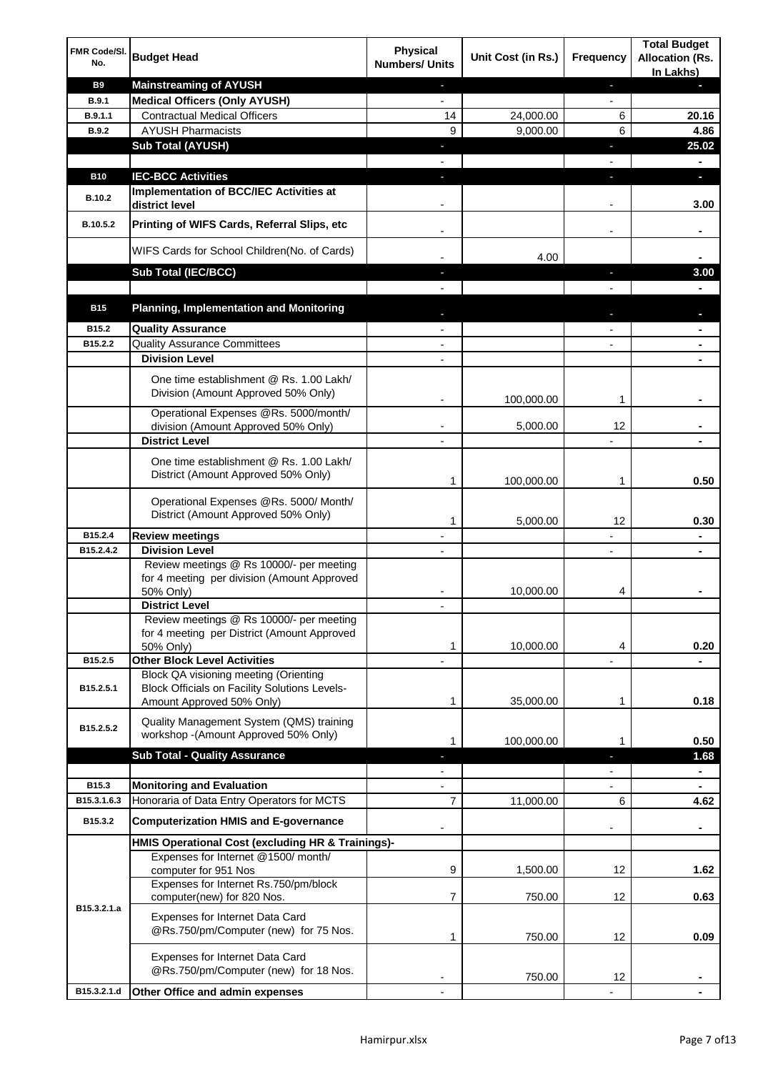| FMR Code/SI.<br>No. | <b>Budget Head</b>                                                                                                         | <b>Physical</b><br><b>Numbers/ Units</b> | Unit Cost (in Rs.) | Frequency                | <b>Total Budget</b><br><b>Allocation (Rs.</b><br>In Lakhs) |
|---------------------|----------------------------------------------------------------------------------------------------------------------------|------------------------------------------|--------------------|--------------------------|------------------------------------------------------------|
| <b>B9</b>           | <b>Mainstreaming of AYUSH</b>                                                                                              | J,                                       |                    | ٠                        | ٠                                                          |
| <b>B.9.1</b>        | <b>Medical Officers (Only AYUSH)</b>                                                                                       | $\overline{\phantom{a}}$                 |                    | $\overline{\phantom{a}}$ |                                                            |
| B.9.1.1             | <b>Contractual Medical Officers</b>                                                                                        | 14                                       | 24,000.00          | 6                        | 20.16                                                      |
| <b>B.9.2</b>        | <b>AYUSH Pharmacists</b>                                                                                                   | 9                                        | 9,000.00           | 6                        | 4.86                                                       |
|                     | <b>Sub Total (AYUSH)</b>                                                                                                   | ÷,                                       |                    | J,                       | 25.02                                                      |
| <b>B10</b>          | <b>IEC-BCC Activities</b>                                                                                                  | J,                                       |                    | J,                       | ٠                                                          |
|                     | Implementation of BCC/IEC Activities at                                                                                    |                                          |                    |                          |                                                            |
| <b>B.10.2</b>       | district level                                                                                                             |                                          |                    |                          | 3.00                                                       |
| B.10.5.2            | Printing of WIFS Cards, Referral Slips, etc                                                                                |                                          |                    | $\overline{\phantom{a}}$ | ٠                                                          |
|                     | WIFS Cards for School Children(No. of Cards)                                                                               |                                          | 4.00               |                          |                                                            |
|                     | Sub Total (IEC/BCC)                                                                                                        |                                          |                    |                          | 3.00                                                       |
|                     |                                                                                                                            |                                          |                    |                          |                                                            |
| <b>B15</b>          | <b>Planning, Implementation and Monitoring</b>                                                                             |                                          |                    |                          |                                                            |
| B15.2               | <b>Quality Assurance</b>                                                                                                   |                                          |                    |                          | ۰                                                          |
| B15.2.2             | <b>Quality Assurance Committees</b>                                                                                        |                                          |                    |                          | ۰                                                          |
|                     | <b>Division Level</b>                                                                                                      |                                          |                    |                          |                                                            |
|                     | One time establishment @ Rs. 1.00 Lakh/<br>Division (Amount Approved 50% Only)                                             |                                          | 100,000.00         | 1                        |                                                            |
|                     | Operational Expenses @Rs. 5000/month/                                                                                      |                                          |                    |                          |                                                            |
|                     | division (Amount Approved 50% Only)                                                                                        |                                          | 5,000.00           | 12                       |                                                            |
|                     | <b>District Level</b>                                                                                                      |                                          |                    |                          |                                                            |
|                     | One time establishment @ Rs. 1.00 Lakh/<br>District (Amount Approved 50% Only)                                             | 1                                        | 100,000.00         | 1                        | 0.50                                                       |
|                     | Operational Expenses @Rs. 5000/ Month/<br>District (Amount Approved 50% Only)                                              | 1                                        | 5,000.00           | 12                       | 0.30                                                       |
| B15.2.4             | <b>Review meetings</b>                                                                                                     | $\overline{a}$                           |                    | -                        | ۰                                                          |
| B15.2.4.2           | <b>Division Level</b>                                                                                                      |                                          |                    | $\overline{\phantom{a}}$ | ٠                                                          |
|                     | Review meetings @ Rs 10000/- per meeting<br>for 4 meeting per division (Amount Approved<br>50% Only)                       |                                          | 10,000.00          | 4                        |                                                            |
|                     | <b>District Level</b>                                                                                                      |                                          |                    |                          |                                                            |
|                     | Review meetings @ Rs 10000/- per meeting<br>for 4 meeting per District (Amount Approved<br>50% Only)                       | 1                                        | 10,000.00          | 4                        | 0.20                                                       |
| B15.2.5             | <b>Other Block Level Activities</b>                                                                                        |                                          |                    |                          |                                                            |
| B15.2.5.1           | Block QA visioning meeting (Orienting<br><b>Block Officials on Facility Solutions Levels-</b><br>Amount Approved 50% Only) | 1                                        | 35,000.00          | 1                        | 0.18                                                       |
| B15.2.5.2           | Quality Management System (QMS) training<br>workshop - (Amount Approved 50% Only)                                          |                                          |                    |                          |                                                            |
|                     |                                                                                                                            | 1                                        | 100,000.00         | 1                        | 0.50                                                       |
|                     | <b>Sub Total - Quality Assurance</b>                                                                                       |                                          |                    | r                        | 1.68<br>$\blacksquare$                                     |
| B15.3               | <b>Monitoring and Evaluation</b>                                                                                           |                                          |                    |                          |                                                            |
| B15.3.1.6.3         | Honoraria of Data Entry Operators for MCTS                                                                                 | 7                                        | 11,000.00          | 6                        | 4.62                                                       |
| B15.3.2             | <b>Computerization HMIS and E-governance</b>                                                                               |                                          |                    |                          | ä,                                                         |
|                     | HMIS Operational Cost (excluding HR & Trainings)-                                                                          |                                          |                    |                          |                                                            |
|                     | Expenses for Internet @1500/month/<br>computer for 951 Nos                                                                 | 9                                        | 1,500.00           | 12                       | 1.62                                                       |
|                     | Expenses for Internet Rs.750/pm/block<br>computer(new) for 820 Nos.                                                        | 7                                        | 750.00             | 12                       | 0.63                                                       |
| B15.3.2.1.a         | Expenses for Internet Data Card<br>@Rs.750/pm/Computer (new) for 75 Nos.                                                   | 1                                        | 750.00             | 12                       | 0.09                                                       |
|                     | Expenses for Internet Data Card<br>@Rs.750/pm/Computer (new) for 18 Nos.                                                   |                                          | 750.00             | 12                       |                                                            |
| B15.3.2.1.d         | Other Office and admin expenses                                                                                            |                                          |                    |                          |                                                            |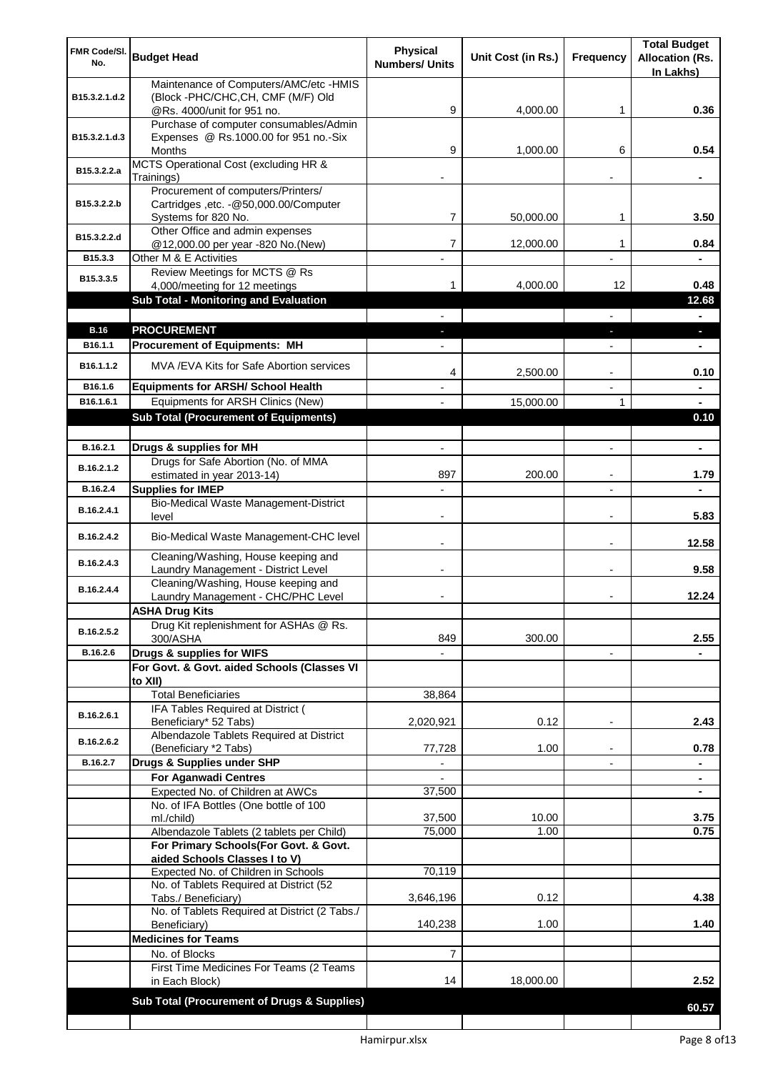| FMR Code/SI.<br>No.    | <b>Budget Head</b>                                                                                  | <b>Physical</b><br><b>Numbers/ Units</b> | Unit Cost (in Rs.) | Frequency                | <b>Total Budget</b><br><b>Allocation (Rs.</b><br>In Lakhs) |
|------------------------|-----------------------------------------------------------------------------------------------------|------------------------------------------|--------------------|--------------------------|------------------------------------------------------------|
| B15.3.2.1.d.2          | Maintenance of Computers/AMC/etc -HMIS<br>(Block -PHC/CHC, CH, CMF (M/F) Old                        |                                          |                    |                          |                                                            |
|                        | @Rs. 4000/unit for 951 no.<br>Purchase of computer consumables/Admin                                | 9                                        | 4,000.00           | 1                        | 0.36                                                       |
| B15.3.2.1.d.3          | Expenses @ Rs.1000.00 for 951 no.-Six<br>Months                                                     | 9                                        | 1,000.00           | 6                        | 0.54                                                       |
| B15.3.2.2.a            | MCTS Operational Cost (excluding HR &<br>Trainings)                                                 |                                          |                    |                          |                                                            |
| B15.3.2.2.b            | Procurement of computers/Printers/<br>Cartridges ,etc. - @50,000.00/Computer<br>Systems for 820 No. | 7                                        | 50,000.00          | 1                        | 3.50                                                       |
| B15.3.2.2.d            | Other Office and admin expenses<br>@12,000.00 per year -820 No.(New)                                | 7                                        | 12,000.00          | 1                        | 0.84                                                       |
| B15.3.3                | Other M & E Activities                                                                              |                                          |                    |                          |                                                            |
| B15.3.3.5              | Review Meetings for MCTS @ Rs<br>4,000/meeting for 12 meetings                                      | 1                                        | 4,000.00           | 12                       | 0.48                                                       |
|                        | <b>Sub Total - Monitoring and Evaluation</b>                                                        |                                          |                    |                          | 12.68                                                      |
|                        |                                                                                                     |                                          |                    | $\overline{\phantom{0}}$ | $\blacksquare$                                             |
| <b>B.16</b><br>B16.1.1 | <b>PROCUREMENT</b>                                                                                  | ٠                                        |                    | ٠                        | $\overline{\phantom{a}}$                                   |
|                        | <b>Procurement of Equipments: MH</b>                                                                |                                          |                    | $\overline{\phantom{a}}$ | $\blacksquare$                                             |
| B16.1.1.2              | MVA /EVA Kits for Safe Abortion services                                                            | 4                                        | 2,500.00           |                          | 0.10                                                       |
| B16.1.6                | <b>Equipments for ARSH/ School Health</b>                                                           |                                          |                    |                          |                                                            |
| B16.1.6.1              | Equipments for ARSH Clinics (New)<br><b>Sub Total (Procurement of Equipments)</b>                   |                                          | 15,000.00          | 1                        | 0.10                                                       |
|                        |                                                                                                     |                                          |                    |                          |                                                            |
| B.16.2.1               | Drugs & supplies for MH                                                                             |                                          |                    |                          | $\blacksquare$                                             |
| B.16.2.1.2             | Drugs for Safe Abortion (No. of MMA                                                                 |                                          |                    |                          |                                                            |
| B.16.2.4               | estimated in year 2013-14)<br><b>Supplies for IMEP</b>                                              | 897                                      | 200.00             |                          | 1.79                                                       |
| B.16.2.4.1             | Bio-Medical Waste Management-District                                                               |                                          |                    |                          |                                                            |
|                        | level                                                                                               |                                          |                    |                          | 5.83                                                       |
| B.16.2.4.2             | Bio-Medical Waste Management-CHC level                                                              |                                          |                    |                          | 12.58                                                      |
| B.16.2.4.3             | Cleaning/Washing, House keeping and<br>Laundry Management - District Level                          |                                          |                    |                          | 9.58                                                       |
| B.16.2.4.4             | Cleaning/Washing, House keeping and<br>Laundry Management - CHC/PHC Level                           |                                          |                    |                          | 12.24                                                      |
|                        | <b>ASHA Drug Kits</b><br>Drug Kit replenishment for ASHAs @ Rs.                                     |                                          |                    |                          |                                                            |
| B.16.2.5.2             | 300/ASHA                                                                                            | 849                                      | 300.00             |                          | 2.55                                                       |
| B.16.2.6               | Drugs & supplies for WIFS                                                                           |                                          |                    | $\blacksquare$           |                                                            |
|                        | For Govt. & Govt. aided Schools (Classes VI<br>to XII)                                              |                                          |                    |                          |                                                            |
|                        | <b>Total Beneficiaries</b>                                                                          | 38,864                                   |                    |                          |                                                            |
| B.16.2.6.1             | IFA Tables Required at District (<br>Beneficiary* 52 Tabs)                                          | 2,020,921                                | 0.12               | $\overline{a}$           | 2.43                                                       |
| B.16.2.6.2             | Albendazole Tablets Required at District                                                            |                                          |                    |                          |                                                            |
| B.16.2.7               | (Beneficiary *2 Tabs)<br>Drugs & Supplies under SHP                                                 | 77,728                                   | 1.00               |                          | 0.78                                                       |
|                        | For Aganwadi Centres                                                                                |                                          |                    |                          | ۰                                                          |
|                        | Expected No. of Children at AWCs                                                                    | 37,500                                   |                    |                          |                                                            |
|                        | No. of IFA Bottles (One bottle of 100<br>ml./child)                                                 | 37,500                                   | 10.00              |                          | 3.75                                                       |
|                        | Albendazole Tablets (2 tablets per Child)                                                           | 75,000                                   | 1.00               |                          | 0.75                                                       |
|                        | For Primary Schools(For Govt. & Govt.<br>aided Schools Classes I to V)                              |                                          |                    |                          |                                                            |
|                        | Expected No. of Children in Schools                                                                 | 70,119                                   |                    |                          |                                                            |
|                        | No. of Tablets Required at District (52<br>Tabs./ Beneficiary)                                      | 3,646,196                                | 0.12               |                          | 4.38                                                       |
|                        | No. of Tablets Required at District (2 Tabs./                                                       |                                          |                    |                          |                                                            |
|                        | Beneficiary)<br><b>Medicines for Teams</b>                                                          | 140,238                                  | 1.00               |                          | 1.40                                                       |
|                        | No. of Blocks                                                                                       | $\overline{7}$                           |                    |                          |                                                            |
|                        | First Time Medicines For Teams (2 Teams<br>in Each Block)                                           | 14                                       | 18,000.00          |                          | 2.52                                                       |
|                        | Sub Total (Procurement of Drugs & Supplies)                                                         |                                          |                    |                          |                                                            |
|                        |                                                                                                     |                                          |                    |                          | 60.57                                                      |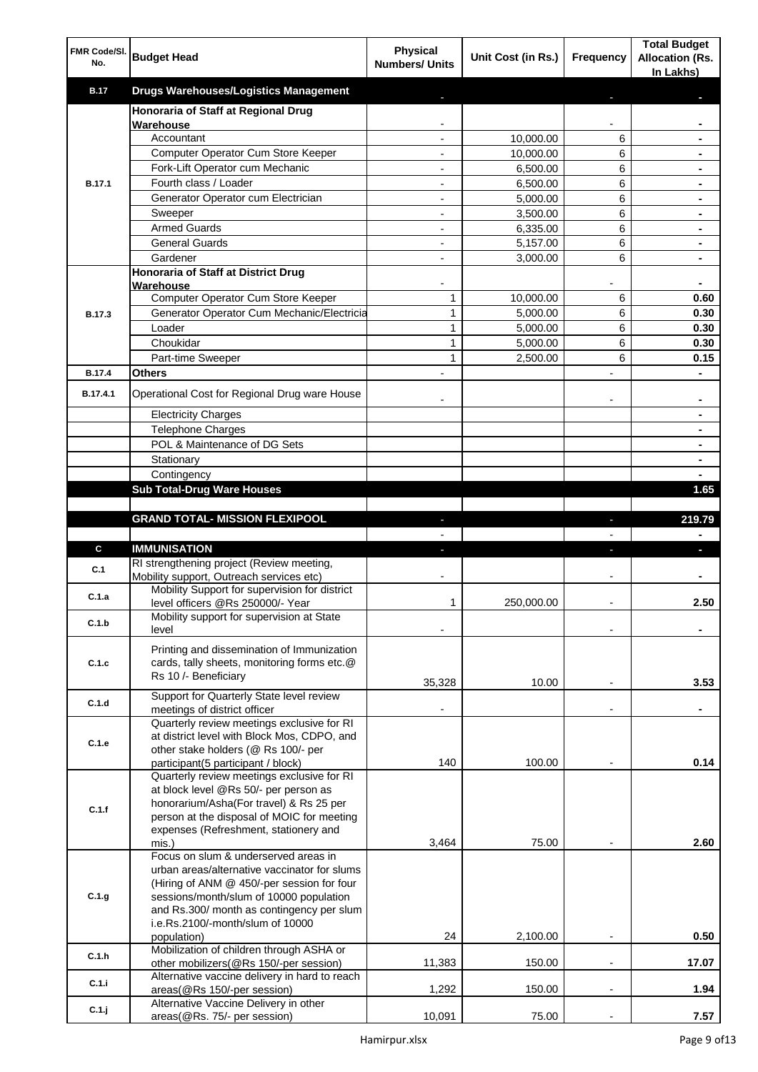| FMR Code/SI.<br>No. | <b>Budget Head</b>                                                                         | <b>Physical</b><br><b>Numbers/ Units</b> | Unit Cost (in Rs.)   | Frequency                | <b>Total Budget</b><br><b>Allocation (Rs.</b><br>In Lakhs) |
|---------------------|--------------------------------------------------------------------------------------------|------------------------------------------|----------------------|--------------------------|------------------------------------------------------------|
| <b>B.17</b>         | <b>Drugs Warehouses/Logistics Management</b>                                               |                                          |                      |                          |                                                            |
|                     | Honoraria of Staff at Regional Drug                                                        |                                          |                      |                          |                                                            |
|                     | Warehouse                                                                                  |                                          |                      |                          |                                                            |
|                     | Accountant                                                                                 | $\blacksquare$                           | 10,000.00            | 6                        |                                                            |
|                     | Computer Operator Cum Store Keeper<br>Fork-Lift Operator cum Mechanic                      | $\blacksquare$<br>$\blacksquare$         | 10,000.00            | 6                        | $\blacksquare$                                             |
| <b>B.17.1</b>       | Fourth class / Loader                                                                      | -                                        | 6,500.00<br>6,500.00 | 6<br>6                   | ۰                                                          |
|                     | Generator Operator cum Electrician                                                         |                                          | 5,000.00             | 6                        |                                                            |
|                     | Sweeper                                                                                    |                                          | 3,500.00             | 6                        |                                                            |
|                     | <b>Armed Guards</b>                                                                        |                                          | 6,335.00             | 6                        |                                                            |
|                     | <b>General Guards</b>                                                                      |                                          | 5,157.00             | 6                        |                                                            |
|                     | Gardener                                                                                   |                                          | 3,000.00             | 6                        |                                                            |
|                     | Honoraria of Staff at District Drug                                                        |                                          |                      |                          |                                                            |
|                     | Warehouse                                                                                  | $\blacksquare$                           |                      |                          | ٠                                                          |
|                     | Computer Operator Cum Store Keeper                                                         | 1                                        | 10,000.00            | 6                        | 0.60                                                       |
| B.17.3              | Generator Operator Cum Mechanic/Electricia                                                 | 1                                        | 5,000.00             | 6                        | 0.30                                                       |
|                     | Loader                                                                                     | 1                                        | 5,000.00             | 6                        | 0.30                                                       |
|                     | Choukidar                                                                                  | $\mathbf{1}$                             | 5,000.00             | 6                        | 0.30                                                       |
| <b>B.17.4</b>       | Part-time Sweeper<br><b>Others</b>                                                         | $\mathbf{1}$                             | 2,500.00             | 6                        | 0.15                                                       |
|                     |                                                                                            |                                          |                      |                          |                                                            |
| B.17.4.1            | Operational Cost for Regional Drug ware House                                              |                                          |                      |                          |                                                            |
|                     | <b>Electricity Charges</b>                                                                 |                                          |                      |                          |                                                            |
|                     | <b>Telephone Charges</b>                                                                   |                                          |                      |                          |                                                            |
|                     | POL & Maintenance of DG Sets                                                               |                                          |                      |                          |                                                            |
|                     | Stationary                                                                                 |                                          |                      |                          | $\blacksquare$                                             |
|                     | Contingency<br><b>Sub Total-Drug Ware Houses</b>                                           |                                          |                      |                          |                                                            |
|                     |                                                                                            |                                          |                      |                          | 1.65                                                       |
|                     | <b>GRAND TOTAL- MISSION FLEXIPOOL</b>                                                      | ٠                                        |                      | J,                       | 219.79                                                     |
|                     |                                                                                            |                                          |                      |                          |                                                            |
| C                   | <b>IMMUNISATION</b>                                                                        |                                          |                      | ٠                        | L.                                                         |
| C.1                 | RI strengthening project (Review meeting,                                                  |                                          |                      |                          |                                                            |
|                     | Mobility support, Outreach services etc)<br>Mobility Support for supervision for district  |                                          |                      |                          |                                                            |
| C.1.a               | level officers @Rs 250000/- Year                                                           | 1                                        | 250,000.00           |                          | 2.50                                                       |
| C.1.b               | Mobility support for supervision at State<br>level                                         |                                          |                      |                          |                                                            |
|                     |                                                                                            |                                          |                      |                          |                                                            |
| C.1.c               | Printing and dissemination of Immunization<br>cards, tally sheets, monitoring forms etc.@  |                                          |                      |                          |                                                            |
|                     | Rs 10 /- Beneficiary                                                                       |                                          |                      |                          |                                                            |
|                     |                                                                                            | 35,328                                   | 10.00                |                          | 3.53                                                       |
| C.1.d               | Support for Quarterly State level review<br>meetings of district officer                   |                                          |                      |                          |                                                            |
|                     | Quarterly review meetings exclusive for RI                                                 |                                          |                      |                          |                                                            |
| C.1.e               | at district level with Block Mos, CDPO, and                                                |                                          |                      |                          |                                                            |
|                     | other stake holders (@ Rs 100/- per                                                        |                                          |                      |                          |                                                            |
|                     | participant(5 participant / block)                                                         | 140                                      | 100.00               |                          | 0.14                                                       |
|                     | Quarterly review meetings exclusive for RI<br>at block level @Rs 50/- per person as        |                                          |                      |                          |                                                            |
|                     | honorarium/Asha(For travel) & Rs 25 per                                                    |                                          |                      |                          |                                                            |
| C.1.f               | person at the disposal of MOIC for meeting                                                 |                                          |                      |                          |                                                            |
|                     | expenses (Refreshment, stationery and                                                      |                                          |                      |                          |                                                            |
|                     | mis.)                                                                                      | 3,464                                    | 75.00                |                          | 2.60                                                       |
|                     | Focus on slum & underserved areas in                                                       |                                          |                      |                          |                                                            |
|                     | urban areas/alternative vaccinator for slums<br>(Hiring of ANM @ 450/-per session for four |                                          |                      |                          |                                                            |
| C.1.g               | sessions/month/slum of 10000 population                                                    |                                          |                      |                          |                                                            |
|                     | and Rs.300/ month as contingency per slum                                                  |                                          |                      |                          |                                                            |
|                     | i.e.Rs.2100/-month/slum of 10000                                                           |                                          |                      |                          |                                                            |
|                     | population)                                                                                | 24                                       | 2,100.00             | $\overline{\phantom{a}}$ | 0.50                                                       |
| C.1.h               | Mobilization of children through ASHA or<br>other mobilizers(@Rs 150/-per session)         | 11,383                                   | 150.00               | $\overline{\phantom{a}}$ | 17.07                                                      |
|                     | Alternative vaccine delivery in hard to reach                                              |                                          |                      |                          |                                                            |
| C.1.i               | areas(@Rs 150/-per session)                                                                | 1,292                                    | 150.00               | $\overline{\phantom{a}}$ | 1.94                                                       |
| C.1.j               | Alternative Vaccine Delivery in other                                                      |                                          |                      |                          |                                                            |
|                     | areas(@Rs. 75/- per session)                                                               | 10,091                                   | 75.00                | $\overline{\phantom{a}}$ | 7.57                                                       |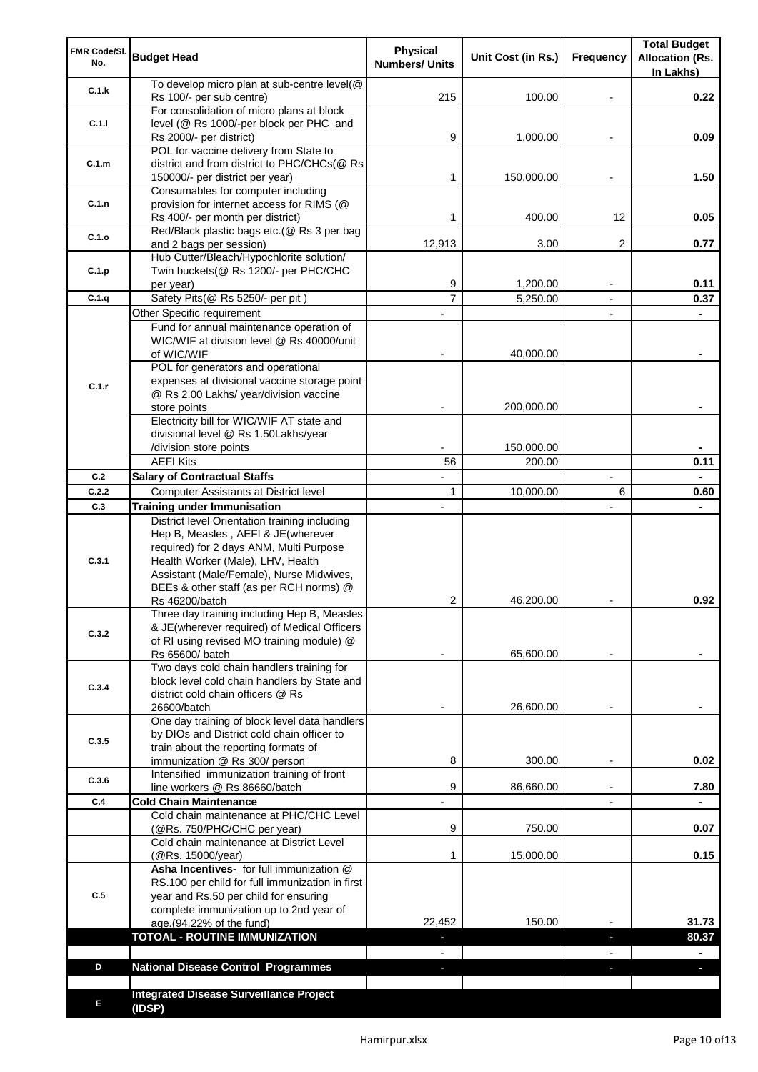| FMR Code/SI.<br>No. | <b>Budget Head</b>                                                                                                                                                                                                                                         | Physical<br><b>Numbers/ Units</b> | Unit Cost (in Rs.) | Frequency                | <b>Total Budget</b><br><b>Allocation (Rs.</b><br>In Lakhs) |
|---------------------|------------------------------------------------------------------------------------------------------------------------------------------------------------------------------------------------------------------------------------------------------------|-----------------------------------|--------------------|--------------------------|------------------------------------------------------------|
| C.1.k               | To develop micro plan at sub-centre level(@<br>Rs 100/- per sub centre)                                                                                                                                                                                    | 215                               | 100.00             |                          | 0.22                                                       |
| C.1.1               | For consolidation of micro plans at block<br>level (@ Rs 1000/-per block per PHC and<br>Rs 2000/- per district)                                                                                                                                            | 9                                 | 1,000.00           |                          | 0.09                                                       |
| C.1.m               | POL for vaccine delivery from State to<br>district and from district to PHC/CHCs(@ Rs                                                                                                                                                                      |                                   |                    |                          |                                                            |
| C.1.n               | 150000/- per district per year)<br>Consumables for computer including<br>provision for internet access for RIMS (@                                                                                                                                         | 1                                 | 150,000.00         |                          | 1.50                                                       |
|                     | Rs 400/- per month per district)<br>Red/Black plastic bags etc.(@ Rs 3 per bag                                                                                                                                                                             | 1                                 | 400.00             | 12                       | 0.05                                                       |
| C.1.o               | and 2 bags per session)<br>Hub Cutter/Bleach/Hypochlorite solution/                                                                                                                                                                                        | 12,913                            | 3.00               | 2                        | 0.77                                                       |
| C.1.p               | Twin buckets(@ Rs 1200/- per PHC/CHC<br>per year)                                                                                                                                                                                                          | 9                                 | 1,200.00           |                          | 0.11                                                       |
| C.1.q               | Safety Pits(@ Rs 5250/- per pit)                                                                                                                                                                                                                           | $\overline{7}$                    | 5,250.00           |                          | 0.37                                                       |
|                     | Other Specific requirement                                                                                                                                                                                                                                 |                                   |                    | $\blacksquare$           |                                                            |
|                     | Fund for annual maintenance operation of<br>WIC/WIF at division level @ Rs.40000/unit<br>of WIC/WIF                                                                                                                                                        |                                   | 40,000.00          |                          |                                                            |
| C.1.r               | POL for generators and operational<br>expenses at divisional vaccine storage point                                                                                                                                                                         |                                   |                    |                          |                                                            |
|                     | @ Rs 2.00 Lakhs/ year/division vaccine<br>store points                                                                                                                                                                                                     |                                   | 200,000.00         |                          |                                                            |
|                     | Electricity bill for WIC/WIF AT state and<br>divisional level @ Rs 1.50Lakhs/year<br>/division store points                                                                                                                                                |                                   | 150,000.00         |                          |                                                            |
|                     | <b>AEFI Kits</b>                                                                                                                                                                                                                                           | 56                                | 200.00             |                          | 0.11                                                       |
| C.2                 | <b>Salary of Contractual Staffs</b>                                                                                                                                                                                                                        |                                   |                    | $\overline{\phantom{a}}$ |                                                            |
| C.2.2               | Computer Assistants at District level                                                                                                                                                                                                                      | $\mathbf{1}$                      | 10,000.00          | 6                        | 0.60                                                       |
| C.3                 | <b>Training under Immunisation</b>                                                                                                                                                                                                                         | $\overline{a}$                    |                    |                          |                                                            |
| C.3.1               | District level Orientation training including<br>Hep B, Measles, AEFI & JE(wherever<br>required) for 2 days ANM, Multi Purpose<br>Health Worker (Male), LHV, Health<br>Assistant (Male/Female), Nurse Midwives,<br>BEEs & other staff (as per RCH norms) @ |                                   |                    |                          |                                                            |
|                     | Rs 46200/batch                                                                                                                                                                                                                                             | 2                                 | 46,200.00          |                          | 0.92                                                       |
| C.3.2               | Three day training including Hep B, Measles<br>& JE(wherever required) of Medical Officers<br>of RI using revised MO training module) @<br>Rs 65600/ batch                                                                                                 |                                   | 65,600.00          |                          |                                                            |
| C.3.4               | Two days cold chain handlers training for<br>block level cold chain handlers by State and<br>district cold chain officers @ Rs                                                                                                                             |                                   |                    |                          |                                                            |
| C.3.5               | 26600/batch<br>One day training of block level data handlers<br>by DIOs and District cold chain officer to                                                                                                                                                 |                                   | 26,600.00          |                          |                                                            |
|                     | train about the reporting formats of<br>immunization @ Rs 300/ person                                                                                                                                                                                      | 8                                 | 300.00             | $\overline{\phantom{a}}$ | 0.02                                                       |
| C.3.6               | Intensified immunization training of front<br>line workers @ Rs 86660/batch                                                                                                                                                                                | 9                                 | 86,660.00          | $\blacksquare$           | 7.80                                                       |
| C.4                 | <b>Cold Chain Maintenance</b>                                                                                                                                                                                                                              |                                   |                    |                          |                                                            |
|                     | Cold chain maintenance at PHC/CHC Level<br>(@Rs. 750/PHC/CHC per year)                                                                                                                                                                                     | 9                                 | 750.00             |                          | 0.07                                                       |
|                     | Cold chain maintenance at District Level<br>(@Rs. 15000/year)<br>Asha Incentives- for full immunization @                                                                                                                                                  | 1                                 | 15,000.00          |                          | 0.15                                                       |
| C.5                 | RS.100 per child for full immunization in first<br>year and Rs.50 per child for ensuring<br>complete immunization up to 2nd year of<br>age.(94.22% of the fund)                                                                                            | 22,452                            | 150.00             |                          | 31.73                                                      |
|                     | <b>TOTOAL - ROUTINE IMMUNIZATION</b>                                                                                                                                                                                                                       |                                   |                    |                          | 80.37                                                      |
|                     |                                                                                                                                                                                                                                                            |                                   |                    |                          |                                                            |
| D                   | <b>National Disease Control Programmes</b>                                                                                                                                                                                                                 |                                   |                    |                          |                                                            |
|                     |                                                                                                                                                                                                                                                            |                                   |                    |                          |                                                            |
| Е                   | <b>Integrated Disease Surveillance Project</b><br>(IDSP)                                                                                                                                                                                                   |                                   |                    |                          |                                                            |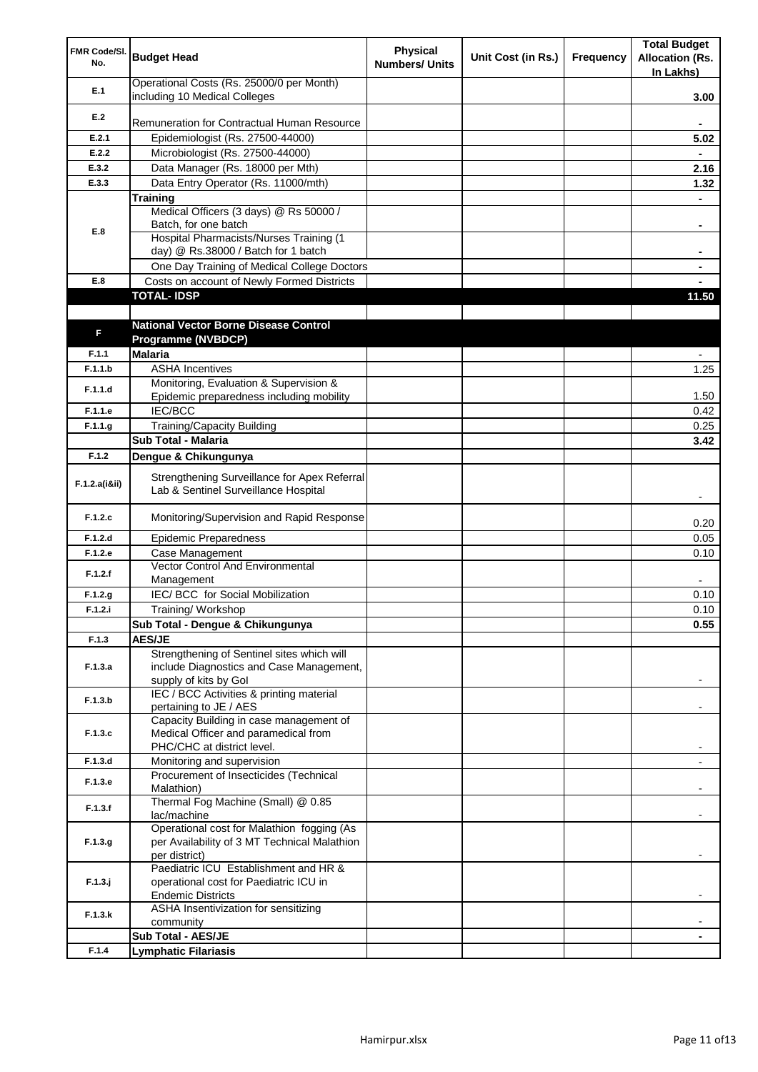| FMR Code/SI.<br>No. | <b>Budget Head</b>                                                                   | <b>Physical</b><br><b>Numbers/ Units</b> | Unit Cost (in Rs.) | Frequency | <b>Total Budget</b><br><b>Allocation (Rs.</b><br>In Lakhs) |
|---------------------|--------------------------------------------------------------------------------------|------------------------------------------|--------------------|-----------|------------------------------------------------------------|
| E.1                 | Operational Costs (Rs. 25000/0 per Month)<br>including 10 Medical Colleges           |                                          |                    |           | 3.00                                                       |
| E.2                 |                                                                                      |                                          |                    |           |                                                            |
|                     | Remuneration for Contractual Human Resource                                          |                                          |                    |           |                                                            |
| E.2.1               | Epidemiologist (Rs. 27500-44000)                                                     |                                          |                    |           | 5.02                                                       |
| E.2.2               | Microbiologist (Rs. 27500-44000)                                                     |                                          |                    |           |                                                            |
| E.3.2               | Data Manager (Rs. 18000 per Mth)                                                     |                                          |                    |           | 2.16                                                       |
| E.3.3               | Data Entry Operator (Rs. 11000/mth)                                                  |                                          |                    |           | 1.32                                                       |
|                     | <b>Training</b><br>Medical Officers (3 days) @ Rs 50000 /                            |                                          |                    |           |                                                            |
|                     | Batch, for one batch                                                                 |                                          |                    |           | ۰                                                          |
| E.8                 | Hospital Pharmacists/Nurses Training (1                                              |                                          |                    |           |                                                            |
|                     | day) @ Rs.38000 / Batch for 1 batch                                                  |                                          |                    |           |                                                            |
|                     | One Day Training of Medical College Doctors                                          |                                          |                    |           |                                                            |
| E.8                 | Costs on account of Newly Formed Districts                                           |                                          |                    |           |                                                            |
|                     | <b>TOTAL-IDSP</b>                                                                    |                                          |                    |           | 11.50                                                      |
|                     |                                                                                      |                                          |                    |           |                                                            |
| F                   | <b>National Vector Borne Disease Control</b>                                         |                                          |                    |           |                                                            |
|                     | Programme (NVBDCP)                                                                   |                                          |                    |           |                                                            |
| F.1.1               | <b>Malaria</b>                                                                       |                                          |                    |           |                                                            |
| F.1.1.b             | <b>ASHA Incentives</b>                                                               |                                          |                    |           | 1.25                                                       |
| F.1.1.d             | Monitoring, Evaluation & Supervision &                                               |                                          |                    |           |                                                            |
|                     | Epidemic preparedness including mobility                                             |                                          |                    |           | 1.50                                                       |
| F.1.1.e             | <b>IEC/BCC</b>                                                                       |                                          |                    |           | 0.42                                                       |
| F.1.1.g             | <b>Training/Capacity Building</b><br>Sub Total - Malaria                             |                                          |                    |           | 0.25                                                       |
|                     |                                                                                      |                                          |                    |           | 3.42                                                       |
| F.1.2               | Dengue & Chikungunya                                                                 |                                          |                    |           |                                                            |
| F.1.2.a(iⅈ)         | Strengthening Surveillance for Apex Referral<br>Lab & Sentinel Surveillance Hospital |                                          |                    |           |                                                            |
| F.1.2.c             | Monitoring/Supervision and Rapid Response                                            |                                          |                    |           | 0.20                                                       |
| F.1.2.d             | <b>Epidemic Preparedness</b>                                                         |                                          |                    |           | 0.05                                                       |
| F.1.2.e             | Case Management                                                                      |                                          |                    |           | 0.10                                                       |
| F.1.2.f             | <b>Vector Control And Environmental</b><br>Management                                |                                          |                    |           |                                                            |
| F.1.2.g             | IEC/ BCC for Social Mobilization                                                     |                                          |                    |           | 0.10                                                       |
| F.1.2.i             | Training/Workshop                                                                    |                                          |                    |           | 0.10                                                       |
|                     | Sub Total - Dengue & Chikungunya                                                     |                                          |                    |           | 0.55                                                       |
| F.1.3               | <b>AES/JE</b>                                                                        |                                          |                    |           |                                                            |
|                     | Strengthening of Sentinel sites which will                                           |                                          |                    |           |                                                            |
| F.1.3.a             | include Diagnostics and Case Management,<br>supply of kits by Gol                    |                                          |                    |           |                                                            |
|                     | IEC / BCC Activities & printing material                                             |                                          |                    |           |                                                            |
| F.1.3.b             | pertaining to JE / AES                                                               |                                          |                    |           |                                                            |
|                     | Capacity Building in case management of                                              |                                          |                    |           |                                                            |
| F.1.3.c             | Medical Officer and paramedical from                                                 |                                          |                    |           |                                                            |
|                     | PHC/CHC at district level.                                                           |                                          |                    |           |                                                            |
| F.1.3.d             | Monitoring and supervision                                                           |                                          |                    |           |                                                            |
| F.1.3.e             | Procurement of Insecticides (Technical<br>Malathion)                                 |                                          |                    |           |                                                            |
|                     | Thermal Fog Machine (Small) @ 0.85                                                   |                                          |                    |           |                                                            |
| F.1.3.f             | lac/machine                                                                          |                                          |                    |           |                                                            |
|                     | Operational cost for Malathion fogging (As                                           |                                          |                    |           |                                                            |
| F.1.3.g             | per Availability of 3 MT Technical Malathion                                         |                                          |                    |           |                                                            |
|                     | per district)                                                                        |                                          |                    |           |                                                            |
| $F.1.3.$ j          | Paediatric ICU Establishment and HR &<br>operational cost for Paediatric ICU in      |                                          |                    |           |                                                            |
|                     | <b>Endemic Districts</b>                                                             |                                          |                    |           |                                                            |
|                     | ASHA Insentivization for sensitizing                                                 |                                          |                    |           |                                                            |
| F.1.3.k             | community                                                                            |                                          |                    |           |                                                            |
|                     | Sub Total - AES/JE                                                                   |                                          |                    |           |                                                            |
| F.1.4               | <b>Lymphatic Filariasis</b>                                                          |                                          |                    |           |                                                            |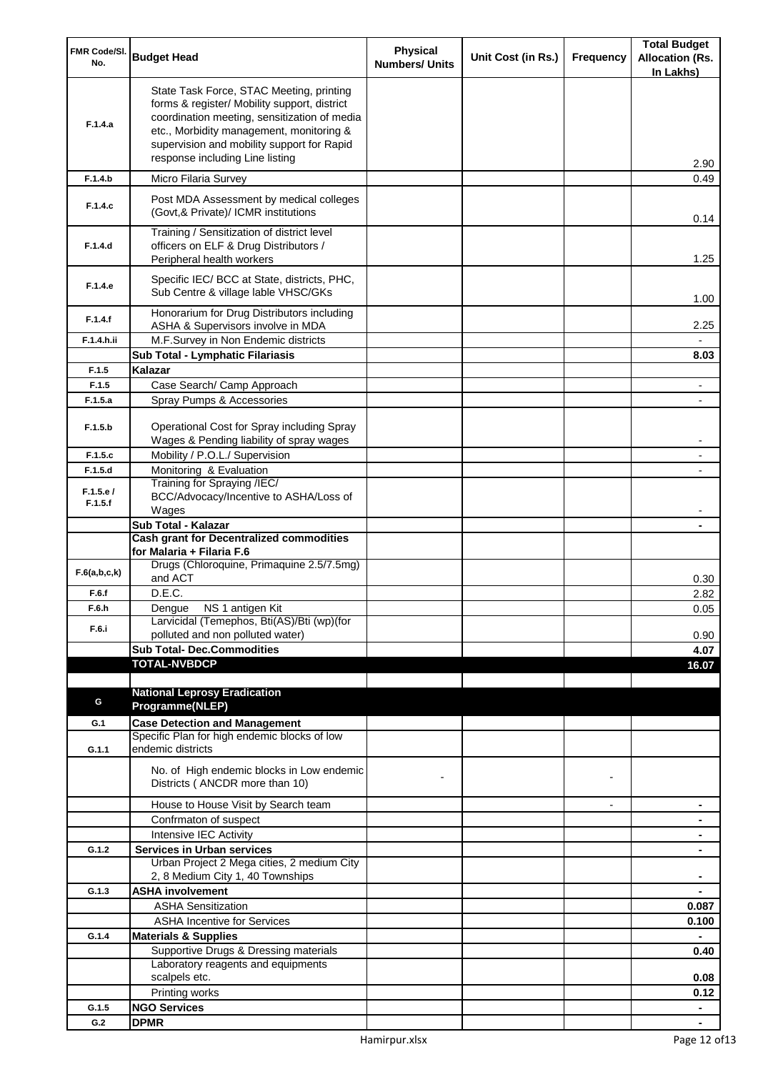| FMR Code/SI.<br>No. | <b>Budget Head</b>                                                                                                                                                                                                                                                    | <b>Physical</b><br><b>Numbers/ Units</b> | Unit Cost (in Rs.) | Frequency      | <b>Total Budget</b><br><b>Allocation (Rs.</b><br>In Lakhs) |
|---------------------|-----------------------------------------------------------------------------------------------------------------------------------------------------------------------------------------------------------------------------------------------------------------------|------------------------------------------|--------------------|----------------|------------------------------------------------------------|
| F.1.4.a             | State Task Force, STAC Meeting, printing<br>forms & register/ Mobility support, district<br>coordination meeting, sensitization of media<br>etc., Morbidity management, monitoring &<br>supervision and mobility support for Rapid<br>response including Line listing |                                          |                    |                | 2.90                                                       |
| F.1.4.b             | Micro Filaria Survey                                                                                                                                                                                                                                                  |                                          |                    |                | 0.49                                                       |
| F.1.4.c             | Post MDA Assessment by medical colleges<br>(Govt, & Private)/ ICMR institutions                                                                                                                                                                                       |                                          |                    |                | 0.14                                                       |
| F.1.4.d             | Training / Sensitization of district level<br>officers on ELF & Drug Distributors /<br>Peripheral health workers                                                                                                                                                      |                                          |                    |                | 1.25                                                       |
| F.1.4.e             | Specific IEC/ BCC at State, districts, PHC,<br>Sub Centre & village lable VHSC/GKs                                                                                                                                                                                    |                                          |                    |                | 1.00                                                       |
| F.1.4.f             | Honorarium for Drug Distributors including<br>ASHA & Supervisors involve in MDA                                                                                                                                                                                       |                                          |                    |                | 2.25                                                       |
| F.1.4.h.ii          | M.F.Survey in Non Endemic districts                                                                                                                                                                                                                                   |                                          |                    |                |                                                            |
|                     | Sub Total - Lymphatic Filariasis                                                                                                                                                                                                                                      |                                          |                    |                | 8.03                                                       |
| F.1.5               | Kalazar                                                                                                                                                                                                                                                               |                                          |                    |                |                                                            |
| F.1.5<br>F.1.5.a    | Case Search/ Camp Approach                                                                                                                                                                                                                                            |                                          |                    |                |                                                            |
|                     | Spray Pumps & Accessories                                                                                                                                                                                                                                             |                                          |                    |                | $\overline{a}$                                             |
| F.1.5.b             | Operational Cost for Spray including Spray<br>Wages & Pending liability of spray wages                                                                                                                                                                                |                                          |                    |                |                                                            |
| F.1.5.c             | Mobility / P.O.L./ Supervision                                                                                                                                                                                                                                        |                                          |                    |                |                                                            |
| F.1.5.d             | Monitoring & Evaluation                                                                                                                                                                                                                                               |                                          |                    |                |                                                            |
| F.1.5.e/<br>F.1.5.f | Training for Spraying /IEC/<br>BCC/Advocacy/Incentive to ASHA/Loss of<br>Wages                                                                                                                                                                                        |                                          |                    |                |                                                            |
|                     | Sub Total - Kalazar                                                                                                                                                                                                                                                   |                                          |                    |                |                                                            |
|                     | <b>Cash grant for Decentralized commodities</b>                                                                                                                                                                                                                       |                                          |                    |                |                                                            |
|                     | for Malaria + Filaria F.6                                                                                                                                                                                                                                             |                                          |                    |                |                                                            |
| F.6(a,b,c,k)        | Drugs (Chloroquine, Primaquine 2.5/7.5mg)<br>and ACT                                                                                                                                                                                                                  |                                          |                    |                | 0.30                                                       |
| F.6.f               | D.E.C.                                                                                                                                                                                                                                                                |                                          |                    |                | 2.82                                                       |
| F.6.h               | Dengue NS 1 antigen Kit<br>Larvicidal (Temephos, Bti(AS)/Bti (wp)(for                                                                                                                                                                                                 |                                          |                    |                | 0.05                                                       |
| F.6.i               | polluted and non polluted water)                                                                                                                                                                                                                                      |                                          |                    |                | 0.90                                                       |
|                     | <b>Sub Total- Dec.Commodities</b>                                                                                                                                                                                                                                     |                                          |                    |                | 4.07                                                       |
|                     | <b>TOTAL-NVBDCP</b>                                                                                                                                                                                                                                                   |                                          |                    |                | 16.07                                                      |
|                     |                                                                                                                                                                                                                                                                       |                                          |                    |                |                                                            |
|                     | <b>National Leprosy Eradication</b>                                                                                                                                                                                                                                   |                                          |                    |                |                                                            |
| G                   | Programme(NLEP)                                                                                                                                                                                                                                                       |                                          |                    |                |                                                            |
| G.1                 | <b>Case Detection and Management</b>                                                                                                                                                                                                                                  |                                          |                    |                |                                                            |
| G.1.1               | Specific Plan for high endemic blocks of low<br>endemic districts                                                                                                                                                                                                     |                                          |                    |                |                                                            |
|                     | No. of High endemic blocks in Low endemic<br>Districts (ANCDR more than 10)                                                                                                                                                                                           |                                          |                    |                |                                                            |
|                     | House to House Visit by Search team                                                                                                                                                                                                                                   |                                          |                    | $\blacksquare$ | $\blacksquare$                                             |
|                     | Confrmaton of suspect                                                                                                                                                                                                                                                 |                                          |                    |                | ۰                                                          |
|                     | Intensive IEC Activity                                                                                                                                                                                                                                                |                                          |                    |                | ۰                                                          |
| G.1.2               | <b>Services in Urban services</b>                                                                                                                                                                                                                                     |                                          |                    |                | ۰                                                          |
|                     | Urban Project 2 Mega cities, 2 medium City<br>2, 8 Medium City 1, 40 Townships                                                                                                                                                                                        |                                          |                    |                |                                                            |
| G.1.3               | <b>ASHA involvement</b>                                                                                                                                                                                                                                               |                                          |                    |                |                                                            |
|                     | <b>ASHA Sensitization</b>                                                                                                                                                                                                                                             |                                          |                    |                | 0.087                                                      |
|                     | <b>ASHA Incentive for Services</b>                                                                                                                                                                                                                                    |                                          |                    |                | 0.100                                                      |
| G.1.4               | <b>Materials &amp; Supplies</b>                                                                                                                                                                                                                                       |                                          |                    |                |                                                            |
|                     | Supportive Drugs & Dressing materials                                                                                                                                                                                                                                 |                                          |                    |                | 0.40                                                       |
|                     | Laboratory reagents and equipments                                                                                                                                                                                                                                    |                                          |                    |                |                                                            |
|                     | scalpels etc.                                                                                                                                                                                                                                                         |                                          |                    |                | 0.08                                                       |
| G.1.5               | Printing works<br><b>NGO Services</b>                                                                                                                                                                                                                                 |                                          |                    |                | 0.12<br>$\blacksquare$                                     |
| G.2                 | <b>DPMR</b>                                                                                                                                                                                                                                                           |                                          |                    |                | ۰                                                          |
|                     |                                                                                                                                                                                                                                                                       |                                          |                    |                |                                                            |